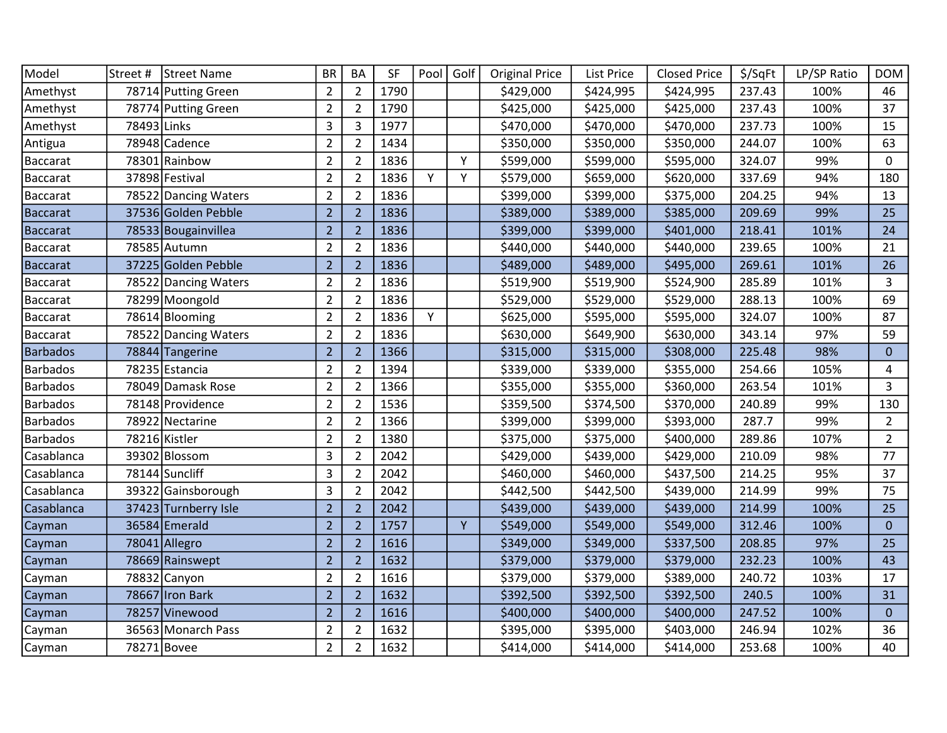| Model           | Street #    | Street Name          | <b>BR</b>      | <b>BA</b>      | <b>SF</b> | Pool | Golf | <b>Original Price</b> | List Price | <b>Closed Price</b> | \$/SqFt | LP/SP Ratio | <b>DOM</b>     |
|-----------------|-------------|----------------------|----------------|----------------|-----------|------|------|-----------------------|------------|---------------------|---------|-------------|----------------|
| Amethyst        |             | 78714 Putting Green  | $\overline{2}$ | $\overline{2}$ | 1790      |      |      | \$429,000             | \$424,995  | \$424,995           | 237.43  | 100%        | 46             |
| Amethyst        |             | 78774 Putting Green  | $\overline{2}$ | $\overline{2}$ | 1790      |      |      | \$425,000             | \$425,000  | \$425,000           | 237.43  | 100%        | 37             |
| Amethyst        | 78493 Links |                      | 3              | 3              | 1977      |      |      | \$470,000             | \$470,000  | \$470,000           | 237.73  | 100%        | 15             |
| Antigua         |             | 78948 Cadence        | $\overline{2}$ | $\overline{2}$ | 1434      |      |      | \$350,000             | \$350,000  | \$350,000           | 244.07  | 100%        | 63             |
| <b>Baccarat</b> |             | 78301 Rainbow        | $\overline{2}$ | 2              | 1836      |      | Υ    | \$599,000             | \$599,000  | \$595,000           | 324.07  | 99%         | 0              |
| Baccarat        |             | 37898 Festival       | $\overline{2}$ | $\overline{2}$ | 1836      | Y    | Y    | \$579,000             | \$659,000  | \$620,000           | 337.69  | 94%         | 180            |
| <b>Baccarat</b> |             | 78522 Dancing Waters | $\overline{2}$ | $\overline{2}$ | 1836      |      |      | \$399,000             | \$399,000  | \$375,000           | 204.25  | 94%         | 13             |
| <b>Baccarat</b> |             | 37536 Golden Pebble  | $\overline{2}$ | $\overline{2}$ | 1836      |      |      | \$389,000             | \$389,000  | \$385,000           | 209.69  | 99%         | 25             |
| <b>Baccarat</b> |             | 78533 Bougainvillea  | $\overline{2}$ | $\overline{2}$ | 1836      |      |      | \$399,000             | \$399,000  | \$401,000           | 218.41  | 101%        | 24             |
| Baccarat        |             | 78585 Autumn         | $\overline{2}$ | $\overline{2}$ | 1836      |      |      | \$440,000             | \$440,000  | \$440,000           | 239.65  | 100%        | 21             |
| <b>Baccarat</b> |             | 37225 Golden Pebble  | $\overline{2}$ | $\overline{2}$ | 1836      |      |      | \$489,000             | \$489,000  | \$495,000           | 269.61  | 101%        | 26             |
| <b>Baccarat</b> |             | 78522 Dancing Waters | $\overline{2}$ | $\overline{2}$ | 1836      |      |      | \$519,900             | \$519,900  | \$524,900           | 285.89  | 101%        | 3              |
| Baccarat        |             | 78299 Moongold       | $\overline{2}$ | $\overline{2}$ | 1836      |      |      | \$529,000             | \$529,000  | \$529,000           | 288.13  | 100%        | 69             |
| <b>Baccarat</b> |             | 78614 Blooming       | $\overline{2}$ | $\overline{2}$ | 1836      | Y    |      | \$625,000             | \$595,000  | \$595,000           | 324.07  | 100%        | 87             |
| Baccarat        |             | 78522 Dancing Waters | $\overline{2}$ | $\overline{2}$ | 1836      |      |      | \$630,000             | \$649,900  | \$630,000           | 343.14  | 97%         | 59             |
| <b>Barbados</b> |             | 78844 Tangerine      | $\overline{2}$ | $\overline{2}$ | 1366      |      |      | \$315,000             | \$315,000  | \$308,000           | 225.48  | 98%         | $\mathbf{0}$   |
| <b>Barbados</b> |             | 78235 Estancia       | $\overline{2}$ | $\overline{2}$ | 1394      |      |      | \$339,000             | \$339,000  | \$355,000           | 254.66  | 105%        | 4              |
| <b>Barbados</b> |             | 78049 Damask Rose    | $\overline{2}$ | $\overline{2}$ | 1366      |      |      | \$355,000             | \$355,000  | \$360,000           | 263.54  | 101%        | 3              |
| <b>Barbados</b> |             | 78148 Providence     | $\overline{2}$ | $\overline{2}$ | 1536      |      |      | \$359,500             | \$374,500  | \$370,000           | 240.89  | 99%         | 130            |
| <b>Barbados</b> | 78922       | Nectarine            | $\overline{2}$ | $\overline{2}$ | 1366      |      |      | \$399,000             | \$399,000  | \$393,000           | 287.7   | 99%         | $\overline{2}$ |
| <b>Barbados</b> |             | 78216 Kistler        | $\overline{2}$ | $\overline{2}$ | 1380      |      |      | \$375,000             | \$375,000  | \$400,000           | 289.86  | 107%        | $\overline{2}$ |
| Casablanca      |             | 39302 Blossom        | 3              | $\overline{2}$ | 2042      |      |      | \$429,000             | \$439,000  | \$429,000           | 210.09  | 98%         | 77             |
| Casablanca      |             | 78144 Suncliff       | 3              | $\overline{2}$ | 2042      |      |      | \$460,000             | \$460,000  | \$437,500           | 214.25  | 95%         | 37             |
| Casablanca      |             | 39322 Gainsborough   | 3              | $\overline{2}$ | 2042      |      |      | \$442,500             | \$442,500  | \$439,000           | 214.99  | 99%         | 75             |
| Casablanca      |             | 37423 Turnberry Isle | $\overline{2}$ | $\overline{2}$ | 2042      |      |      | \$439,000             | \$439,000  | \$439,000           | 214.99  | 100%        | 25             |
| Cayman          |             | 36584 Emerald        | $\overline{2}$ | $\overline{2}$ | 1757      |      | Y    | \$549,000             | \$549,000  | \$549,000           | 312.46  | 100%        | $\mathbf{0}$   |
| Cayman          |             | 78041 Allegro        | $\overline{2}$ | $\overline{2}$ | 1616      |      |      | \$349,000             | \$349,000  | \$337,500           | 208.85  | 97%         | 25             |
| Cayman          |             | 78669 Rainswept      | $\overline{2}$ | $\overline{2}$ | 1632      |      |      | \$379,000             | \$379,000  | \$379,000           | 232.23  | 100%        | 43             |
| Cayman          |             | 78832 Canyon         | $\overline{2}$ | $\overline{2}$ | 1616      |      |      | \$379,000             | \$379,000  | \$389,000           | 240.72  | 103%        | 17             |
| Cayman          |             | 78667 Iron Bark      | $\overline{2}$ | $\overline{2}$ | 1632      |      |      | \$392,500             | \$392,500  | \$392,500           | 240.5   | 100%        | 31             |
| Cayman          |             | 78257 Vinewood       | $\overline{2}$ | $\overline{2}$ | 1616      |      |      | \$400,000             | \$400,000  | \$400,000           | 247.52  | 100%        | $\mathbf{0}$   |
| Cayman          |             | 36563 Monarch Pass   | $\overline{2}$ | $\overline{2}$ | 1632      |      |      | \$395,000             | \$395,000  | \$403,000           | 246.94  | 102%        | 36             |
| Cayman          |             | 78271 Bovee          | $\overline{2}$ | $\overline{2}$ | 1632      |      |      | \$414,000             | \$414,000  | \$414,000           | 253.68  | 100%        | 40             |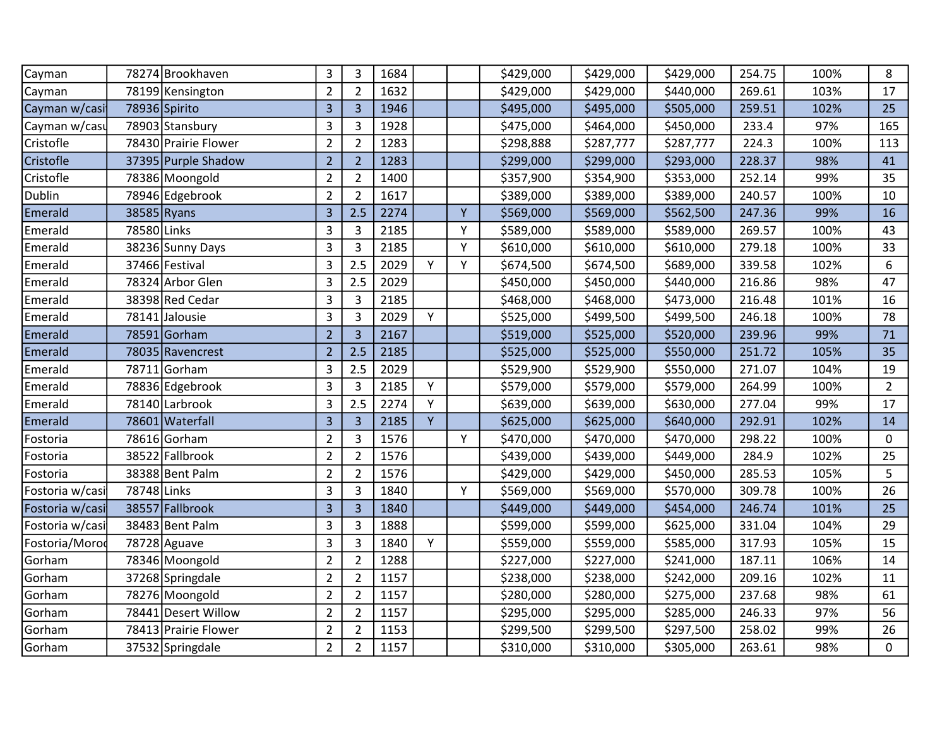| Cayman          |             | 78274 Brookhaven     | 3              | 3              | 1684 |   |   | \$429,000 | \$429,000 | \$429,000 | 254.75 | 100% | 8              |
|-----------------|-------------|----------------------|----------------|----------------|------|---|---|-----------|-----------|-----------|--------|------|----------------|
| Cayman          |             | 78199 Kensington     | $\overline{2}$ | $\overline{2}$ | 1632 |   |   | \$429,000 | \$429,000 | \$440,000 | 269.61 | 103% | 17             |
| Cayman w/casi   |             | 78936 Spirito        | $\overline{3}$ | $\overline{3}$ | 1946 |   |   | \$495,000 | \$495,000 | \$505,000 | 259.51 | 102% | 25             |
| Cayman w/casu   |             | 78903 Stansbury      | 3              | 3              | 1928 |   |   | \$475,000 | \$464,000 | \$450,000 | 233.4  | 97%  | 165            |
| Cristofle       |             | 78430 Prairie Flower | $\overline{2}$ | $\overline{2}$ | 1283 |   |   | \$298,888 | \$287,777 | \$287,777 | 224.3  | 100% | 113            |
| Cristofle       |             | 37395 Purple Shadow  | $\overline{2}$ | $\overline{2}$ | 1283 |   |   | \$299,000 | \$299,000 | \$293,000 | 228.37 | 98%  | 41             |
| Cristofle       |             | 78386 Moongold       | $\overline{2}$ | $\overline{2}$ | 1400 |   |   | \$357,900 | \$354,900 | \$353,000 | 252.14 | 99%  | 35             |
| Dublin          |             | 78946 Edgebrook      | $\overline{2}$ | $\overline{2}$ | 1617 |   |   | \$389,000 | \$389,000 | \$389,000 | 240.57 | 100% | 10             |
| Emerald         |             | 38585 Ryans          | 3              | 2.5            | 2274 |   | Y | \$569,000 | \$569,000 | \$562,500 | 247.36 | 99%  | 16             |
| Emerald         | 78580 Links |                      | 3              | 3              | 2185 |   | Y | \$589,000 | \$589,000 | \$589,000 | 269.57 | 100% | 43             |
| Emerald         |             | 38236 Sunny Days     | 3              | 3              | 2185 |   | Y | \$610,000 | \$610,000 | \$610,000 | 279.18 | 100% | 33             |
| Emerald         |             | 37466 Festival       | 3              | 2.5            | 2029 | Y | Y | \$674,500 | \$674,500 | \$689,000 | 339.58 | 102% | 6              |
| Emerald         |             | 78324 Arbor Glen     | 3              | 2.5            | 2029 |   |   | \$450,000 | \$450,000 | \$440,000 | 216.86 | 98%  | 47             |
| Emerald         |             | 38398 Red Cedar      | 3              | $\overline{3}$ | 2185 |   |   | \$468,000 | \$468,000 | \$473,000 | 216.48 | 101% | 16             |
| Emerald         |             | 78141 Jalousie       | 3              | 3              | 2029 | Y |   | \$525,000 | \$499,500 | \$499,500 | 246.18 | 100% | 78             |
| Emerald         |             | 78591 Gorham         | $\overline{2}$ | $\overline{3}$ | 2167 |   |   | \$519,000 | \$525,000 | \$520,000 | 239.96 | 99%  | 71             |
| Emerald         |             | 78035 Ravencrest     | $\overline{2}$ | 2.5            | 2185 |   |   | \$525,000 | \$525,000 | \$550,000 | 251.72 | 105% | 35             |
| Emerald         |             | 78711 Gorham         | 3              | 2.5            | 2029 |   |   | \$529,900 | \$529,900 | \$550,000 | 271.07 | 104% | 19             |
| Emerald         |             | 78836 Edgebrook      | 3              | $\overline{3}$ | 2185 | Υ |   | \$579,000 | \$579,000 | \$579,000 | 264.99 | 100% | $\overline{2}$ |
| Emerald         |             | 78140 Larbrook       | 3              | 2.5            | 2274 | Y |   | \$639,000 | \$639,000 | \$630,000 | 277.04 | 99%  | 17             |
| Emerald         |             | 78601 Waterfall      | $\overline{3}$ | $\overline{3}$ | 2185 | Ÿ |   | \$625,000 | \$625,000 | \$640,000 | 292.91 | 102% | 14             |
| Fostoria        |             | 78616 Gorham         | $\overline{2}$ | 3              | 1576 |   | Υ | \$470,000 | \$470,000 | \$470,000 | 298.22 | 100% | 0              |
| Fostoria        |             | 38522 Fallbrook      | $\overline{2}$ | $\overline{2}$ | 1576 |   |   | \$439,000 | \$439,000 | \$449,000 | 284.9  | 102% | 25             |
| Fostoria        |             | 38388 Bent Palm      | $\overline{2}$ | $\overline{2}$ | 1576 |   |   | \$429,000 | \$429,000 | \$450,000 | 285.53 | 105% | 5              |
| Fostoria w/casi | 78748 Links |                      | 3              | 3              | 1840 |   | Y | \$569,000 | \$569,000 | \$570,000 | 309.78 | 100% | 26             |
| Fostoria w/casi |             | 38557 Fallbrook      | $\overline{3}$ | $\overline{3}$ | 1840 |   |   | \$449,000 | \$449,000 | \$454,000 | 246.74 | 101% | 25             |
| Fostoria w/casi |             | 38483 Bent Palm      | 3              | 3              | 1888 |   |   | \$599,000 | \$599,000 | \$625,000 | 331.04 | 104% | 29             |
| Fostoria/Morod  |             | 78728 Aguave         | 3              | 3              | 1840 | Υ |   | \$559,000 | \$559,000 | \$585,000 | 317.93 | 105% | 15             |
| Gorham          |             | 78346 Moongold       | $\overline{2}$ | $\overline{2}$ | 1288 |   |   | \$227,000 | \$227,000 | \$241,000 | 187.11 | 106% | 14             |
| Gorham          |             | 37268 Springdale     | $\overline{2}$ | $\overline{2}$ | 1157 |   |   | \$238,000 | \$238,000 | \$242,000 | 209.16 | 102% | 11             |
| Gorham          |             | 78276 Moongold       | $\overline{2}$ | $\overline{2}$ | 1157 |   |   | \$280,000 | \$280,000 | \$275,000 | 237.68 | 98%  | 61             |
| Gorham          |             | 78441 Desert Willow  | $\overline{2}$ | $\overline{2}$ | 1157 |   |   | \$295,000 | \$295,000 | \$285,000 | 246.33 | 97%  | 56             |
| Gorham          |             | 78413 Prairie Flower | $\overline{2}$ | $\overline{2}$ | 1153 |   |   | \$299,500 | \$299,500 | \$297,500 | 258.02 | 99%  | 26             |
| Gorham          |             | 37532 Springdale     | $\overline{2}$ | $\overline{2}$ | 1157 |   |   | \$310,000 | \$310,000 | \$305,000 | 263.61 | 98%  | $\mathbf 0$    |
|                 |             |                      |                |                |      |   |   |           |           |           |        |      |                |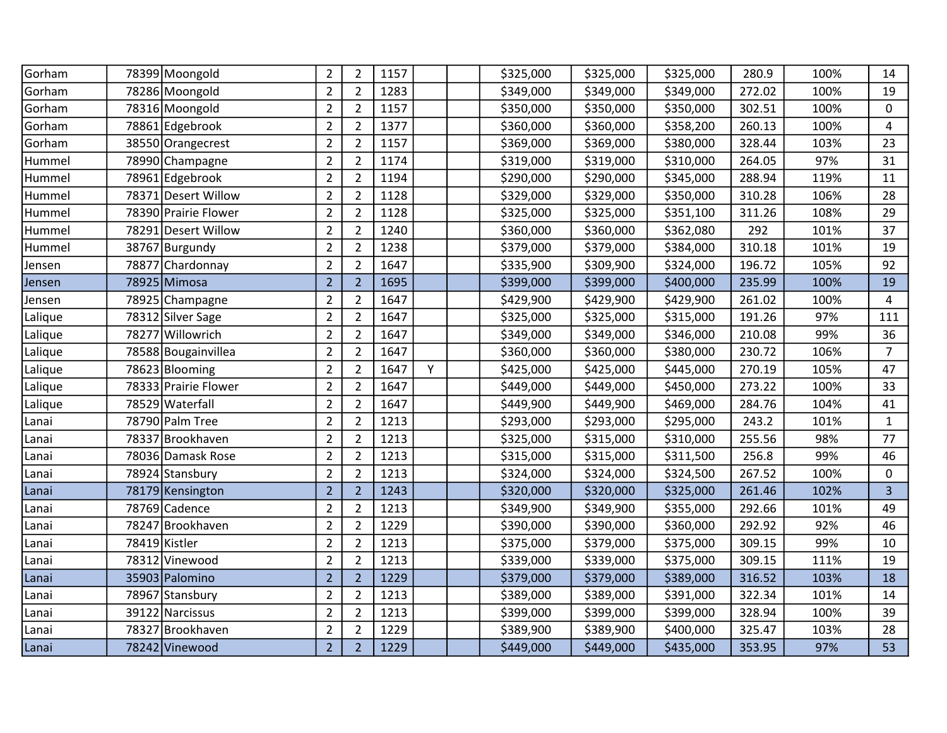| Gorham  | 78399 Moongold       | $\overline{2}$ | $\overline{2}$ | 1157 |   | \$325,000 | \$325,000 | \$325,000 | 280.9  | 100% | 14             |
|---------|----------------------|----------------|----------------|------|---|-----------|-----------|-----------|--------|------|----------------|
| Gorham  | 78286 Moongold       | $\overline{2}$ | $\overline{2}$ | 1283 |   | \$349,000 | \$349,000 | \$349,000 | 272.02 | 100% | 19             |
| Gorham  | 78316 Moongold       | $\overline{2}$ | $\overline{2}$ | 1157 |   | \$350,000 | \$350,000 | \$350,000 | 302.51 | 100% | $\mathbf 0$    |
| Gorham  | 78861 Edgebrook      | $\overline{2}$ | $\overline{2}$ | 1377 |   | \$360,000 | \$360,000 | \$358,200 | 260.13 | 100% | 4              |
| Gorham  | 38550 Orangecrest    | $\overline{2}$ | $\overline{2}$ | 1157 |   | \$369,000 | \$369,000 | \$380,000 | 328.44 | 103% | 23             |
| Hummel  | 78990 Champagne      | $\overline{2}$ | $\overline{2}$ | 1174 |   | \$319,000 | \$319,000 | \$310,000 | 264.05 | 97%  | 31             |
| Hummel  | 78961 Edgebrook      | $\overline{2}$ | $\overline{2}$ | 1194 |   | \$290,000 | \$290,000 | \$345,000 | 288.94 | 119% | 11             |
| Hummel  | 78371 Desert Willow  | $\overline{2}$ | $\overline{2}$ | 1128 |   | \$329,000 | \$329,000 | \$350,000 | 310.28 | 106% | 28             |
| Hummel  | 78390 Prairie Flower | $\overline{2}$ | $\overline{2}$ | 1128 |   | \$325,000 | \$325,000 | \$351,100 | 311.26 | 108% | 29             |
| Hummel  | 78291 Desert Willow  | $\overline{2}$ | $\overline{2}$ | 1240 |   | \$360,000 | \$360,000 | \$362,080 | 292    | 101% | 37             |
| Hummel  | 38767 Burgundy       | $\overline{2}$ | $\overline{2}$ | 1238 |   | \$379,000 | \$379,000 | \$384,000 | 310.18 | 101% | 19             |
| Jensen  | 78877 Chardonnay     | $\overline{2}$ | $\overline{2}$ | 1647 |   | \$335,900 | \$309,900 | \$324,000 | 196.72 | 105% | 92             |
| Jensen  | 78925 Mimosa         | $\overline{2}$ | $\overline{2}$ | 1695 |   | \$399,000 | \$399,000 | \$400,000 | 235.99 | 100% | 19             |
| Jensen  | 78925 Champagne      | $\overline{2}$ | $\overline{2}$ | 1647 |   | \$429,900 | \$429,900 | \$429,900 | 261.02 | 100% | 4              |
| Lalique | 78312 Silver Sage    | $\overline{2}$ | $\overline{2}$ | 1647 |   | \$325,000 | \$325,000 | \$315,000 | 191.26 | 97%  | 111            |
| Lalique | 78277 Willowrich     | $\overline{2}$ | $\overline{2}$ | 1647 |   | \$349,000 | \$349,000 | \$346,000 | 210.08 | 99%  | 36             |
| Lalique | 78588 Bougainvillea  | $\overline{2}$ | $\overline{2}$ | 1647 |   | \$360,000 | \$360,000 | \$380,000 | 230.72 | 106% | $\overline{7}$ |
| Lalique | 78623 Blooming       | $\overline{2}$ | $\overline{2}$ | 1647 | Y | \$425,000 | \$425,000 | \$445,000 | 270.19 | 105% | 47             |
| Lalique | 78333 Prairie Flower | $\overline{2}$ | $\overline{2}$ | 1647 |   | \$449,000 | \$449,000 | \$450,000 | 273.22 | 100% | 33             |
| Lalique | 78529 Waterfall      | $\overline{2}$ | $\overline{2}$ | 1647 |   | \$449,900 | \$449,900 | \$469,000 | 284.76 | 104% | 41             |
| Lanai   | 78790 Palm Tree      | $\overline{2}$ | $\overline{2}$ | 1213 |   | \$293,000 | \$293,000 | \$295,000 | 243.2  | 101% | $\mathbf{1}$   |
| Lanai   | 78337 Brookhaven     | $\overline{2}$ | $\overline{2}$ | 1213 |   | \$325,000 | \$315,000 | \$310,000 | 255.56 | 98%  | 77             |
| Lanai   | 78036 Damask Rose    | $\overline{2}$ | $\overline{2}$ | 1213 |   | \$315,000 | \$315,000 | \$311,500 | 256.8  | 99%  | 46             |
| Lanai   | 78924 Stansbury      | $\overline{2}$ | $\overline{2}$ | 1213 |   | \$324,000 | \$324,000 | \$324,500 | 267.52 | 100% | 0              |
| Lanai   | 78179 Kensington     | $\overline{2}$ | $\overline{2}$ | 1243 |   | \$320,000 | \$320,000 | \$325,000 | 261.46 | 102% | 3              |
| Lanai   | 78769 Cadence        | $\overline{2}$ | $\overline{2}$ | 1213 |   | \$349,900 | \$349,900 | \$355,000 | 292.66 | 101% | 49             |
| Lanai   | 78247 Brookhaven     | $\overline{2}$ | $\overline{2}$ | 1229 |   | \$390,000 | \$390,000 | \$360,000 | 292.92 | 92%  | 46             |
| Lanai   | 78419 Kistler        | $\overline{2}$ | $\overline{2}$ | 1213 |   | \$375,000 | \$379,000 | \$375,000 | 309.15 | 99%  | 10             |
| Lanai   | 78312 Vinewood       | $\overline{2}$ | $\overline{2}$ | 1213 |   | \$339,000 | \$339,000 | \$375,000 | 309.15 | 111% | 19             |
| Lanai   | 35903 Palomino       | $\overline{2}$ | $\overline{2}$ | 1229 |   | \$379,000 | \$379,000 | \$389,000 | 316.52 | 103% | 18             |
| Lanai   | 78967 Stansbury      | $\overline{2}$ | $\overline{2}$ | 1213 |   | \$389,000 | \$389,000 | \$391,000 | 322.34 | 101% | 14             |
| Lanai   | 39122 Narcissus      | $\overline{2}$ | $\overline{2}$ | 1213 |   | \$399,000 | \$399,000 | \$399,000 | 328.94 | 100% | 39             |
| Lanai   | 78327<br>Brookhaven  | $\overline{2}$ | $\overline{2}$ | 1229 |   | \$389,900 | \$389,900 | \$400,000 | 325.47 | 103% | 28             |
| Lanai   | 78242 Vinewood       | $\overline{2}$ | $\overline{2}$ | 1229 |   | \$449,000 | \$449,000 | \$435,000 | 353.95 | 97%  | 53             |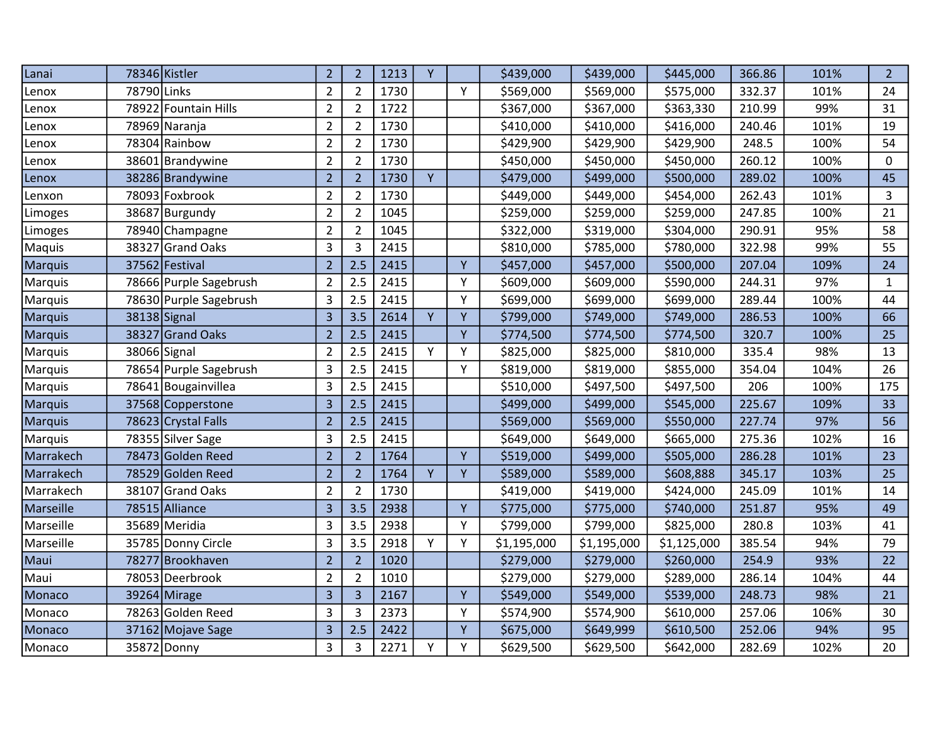| Lanai          |              | 78346 Kistler          | $\overline{2}$           | $\overline{2}$ | 1213 | Υ |   | \$439,000   | \$439,000   | \$445,000   | 366.86 | 101% | $\overline{2}$ |
|----------------|--------------|------------------------|--------------------------|----------------|------|---|---|-------------|-------------|-------------|--------|------|----------------|
| Lenox          | 78790 Links  |                        | $\overline{2}$           | $\overline{2}$ | 1730 |   | Y | \$569,000   | \$569,000   | \$575,000   | 332.37 | 101% | 24             |
| Lenox          | 78922        | Fountain Hills         | $\overline{2}$           | $\overline{2}$ | 1722 |   |   | \$367,000   | \$367,000   | \$363,330   | 210.99 | 99%  | 31             |
| Lenox          |              | 78969 Naranja          | $\overline{2}$           | $\overline{2}$ | 1730 |   |   | \$410,000   | \$410,000   | \$416,000   | 240.46 | 101% | 19             |
| Lenox          |              | 78304 Rainbow          | $\overline{2}$           | $\overline{2}$ | 1730 |   |   | \$429,900   | \$429,900   | \$429,900   | 248.5  | 100% | 54             |
| Lenox          | 38601        | Brandywine             | $\overline{2}$           | $\overline{2}$ | 1730 |   |   | \$450,000   | \$450,000   | \$450,000   | 260.12 | 100% | 0              |
| Lenox          |              | 38286 Brandywine       | $\overline{2}$           | $\overline{2}$ | 1730 | Y |   | \$479,000   | \$499,000   | \$500,000   | 289.02 | 100% | 45             |
| Lenxon         |              | 78093 Foxbrook         | $\overline{2}$           | $\overline{2}$ | 1730 |   |   | \$449,000   | \$449,000   | \$454,000   | 262.43 | 101% | 3              |
| Limoges        |              | 38687 Burgundy         | $\overline{2}$           | $\overline{2}$ | 1045 |   |   | \$259,000   | \$259,000   | \$259,000   | 247.85 | 100% | 21             |
| Limoges        |              | 78940 Champagne        | $\overline{2}$           | $\overline{2}$ | 1045 |   |   | \$322,000   | \$319,000   | \$304,000   | 290.91 | 95%  | 58             |
| Maquis         | 38327        | <b>Grand Oaks</b>      | 3                        | 3              | 2415 |   |   | \$810,000   | \$785,000   | \$780,000   | 322.98 | 99%  | 55             |
| Marquis        |              | 37562 Festival         | $\overline{2}$           | 2.5            | 2415 |   | Y | \$457,000   | \$457,000   | \$500,000   | 207.04 | 109% | 24             |
| Marquis        |              | 78666 Purple Sagebrush | $\overline{2}$           | 2.5            | 2415 |   | Y | \$609,000   | \$609,000   | \$590,000   | 244.31 | 97%  | $\mathbf{1}$   |
| Marquis        |              | 78630 Purple Sagebrush | 3                        | 2.5            | 2415 |   | Υ | \$699,000   | \$699,000   | \$699,000   | 289.44 | 100% | 44             |
| <b>Marquis</b> | 38138 Signal |                        | $\overline{3}$           | 3.5            | 2614 | Y | Y | \$799,000   | \$749,000   | \$749,000   | 286.53 | 100% | 66             |
| <b>Marquis</b> |              | 38327 Grand Oaks       | $\overline{2}$           | 2.5            | 2415 |   | Y | \$774,500   | \$774,500   | \$774,500   | 320.7  | 100% | 25             |
| Marquis        |              | 38066 Signal           | $\overline{2}$           | 2.5            | 2415 | Y | Y | \$825,000   | \$825,000   | \$810,000   | 335.4  | 98%  | 13             |
| Marquis        |              | 78654 Purple Sagebrush | 3                        | 2.5            | 2415 |   | Y | \$819,000   | \$819,000   | \$855,000   | 354.04 | 104% | 26             |
| Marquis        |              | 78641 Bougainvillea    | 3                        | 2.5            | 2415 |   |   | \$510,000   | \$497,500   | \$497,500   | 206    | 100% | 175            |
| Marquis        |              | 37568 Copperstone      | 3                        | 2.5            | 2415 |   |   | \$499,000   | \$499,000   | \$545,000   | 225.67 | 109% | 33             |
| <b>Marquis</b> |              | 78623 Crystal Falls    | $\overline{\phantom{a}}$ | 2.5            | 2415 |   |   | \$569,000   | \$569,000   | \$550,000   | 227.74 | 97%  | 56             |
| Marquis        |              | 78355 Silver Sage      | 3                        | 2.5            | 2415 |   |   | \$649,000   | \$649,000   | \$665,000   | 275.36 | 102% | 16             |
| Marrakech      |              | 78473 Golden Reed      | $\overline{2}$           | $\overline{2}$ | 1764 |   | Y | \$519,000   | \$499,000   | \$505,000   | 286.28 | 101% | 23             |
| Marrakech      |              | 78529 Golden Reed      | $\overline{2}$           | $\overline{2}$ | 1764 | Y | Y | \$589,000   | \$589,000   | \$608,888   | 345.17 | 103% | 25             |
| Marrakech      |              | 38107 Grand Oaks       | $\overline{2}$           | $\overline{2}$ | 1730 |   |   | \$419,000   | \$419,000   | \$424,000   | 245.09 | 101% | 14             |
| Marseille      |              | 78515 Alliance         | 3                        | 3.5            | 2938 |   | Y | \$775,000   | \$775,000   | \$740,000   | 251.87 | 95%  | 49             |
| Marseille      |              | 35689 Meridia          | 3                        | 3.5            | 2938 |   | Y | \$799,000   | \$799,000   | \$825,000   | 280.8  | 103% | 41             |
| Marseille      |              | 35785 Donny Circle     | 3                        | 3.5            | 2918 | Υ | Y | \$1,195,000 | \$1,195,000 | \$1,125,000 | 385.54 | 94%  | 79             |
| Maui           | 78277        | Brookhaven             | $\overline{2}$           | $\overline{2}$ | 1020 |   |   | \$279,000   | \$279,000   | \$260,000   | 254.9  | 93%  | 22             |
| Maui           |              | 78053 Deerbrook        | $\overline{2}$           | $\overline{2}$ | 1010 |   |   | \$279,000   | \$279,000   | \$289,000   | 286.14 | 104% | 44             |
| Monaco         |              | 39264 Mirage           | 3                        | $\overline{3}$ | 2167 |   | Y | \$549,000   | \$549,000   | \$539,000   | 248.73 | 98%  | 21             |
| Monaco         |              | 78263 Golden Reed      | 3                        | 3              | 2373 |   | Y | \$574,900   | \$574,900   | \$610,000   | 257.06 | 106% | 30             |
| Monaco         |              | 37162 Mojave Sage      | 3                        | 2.5            | 2422 |   | Y | \$675,000   | \$649,999   | \$610,500   | 252.06 | 94%  | 95             |
| Monaco         |              | 35872 Donny            | 3                        | $\overline{3}$ | 2271 | Y | Y | \$629,500   | \$629,500   | \$642,000   | 282.69 | 102% | 20             |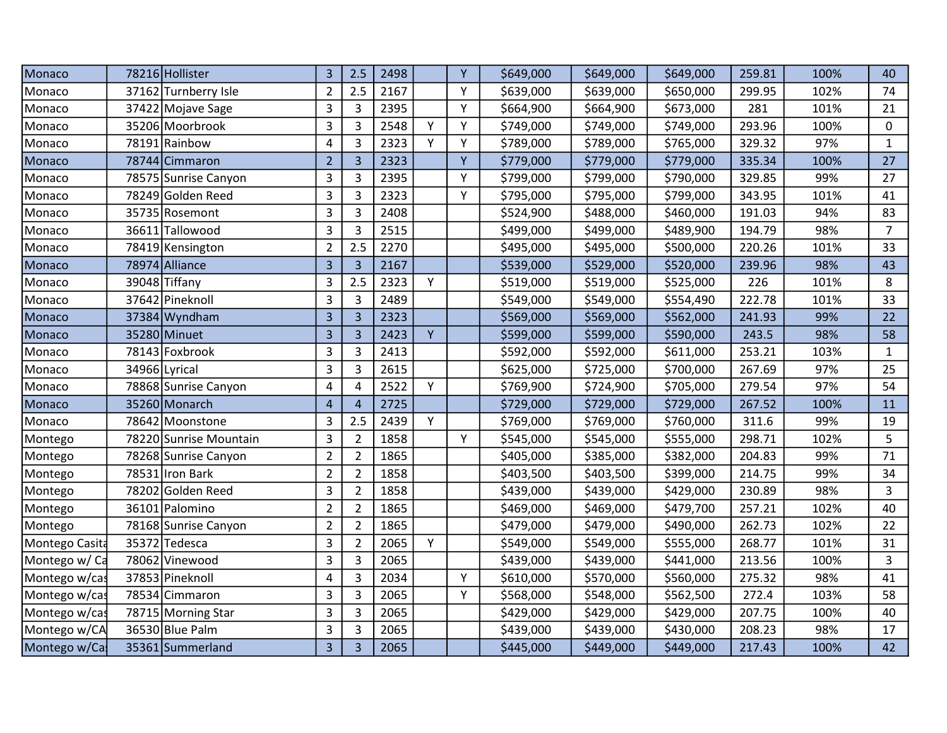| Monaco         | 78216 Hollister        | 3              | 2.5            | 2498 |   | Y | \$649,000 | \$649,000 | \$649,000 | 259.81 | 100% | 40             |
|----------------|------------------------|----------------|----------------|------|---|---|-----------|-----------|-----------|--------|------|----------------|
| Monaco         | 37162 Turnberry Isle   | $\overline{2}$ | 2.5            | 2167 |   | Y | \$639,000 | \$639,000 | \$650,000 | 299.95 | 102% | 74             |
| Monaco         | 37422 Mojave Sage      | 3              | $\overline{3}$ | 2395 |   | Y | \$664,900 | \$664,900 | \$673,000 | 281    | 101% | 21             |
| Monaco         | 35206 Moorbrook        | 3              | 3              | 2548 | Υ | Y | \$749,000 | \$749,000 | \$749,000 | 293.96 | 100% | $\mathbf 0$    |
| Monaco         | 78191 Rainbow          | 4              | 3              | 2323 | Y | Y | \$789,000 | \$789,000 | \$765,000 | 329.32 | 97%  | $\mathbf{1}$   |
| Monaco         | 78744 Cimmaron         | $\overline{2}$ | $\overline{3}$ | 2323 |   | Y | \$779,000 | \$779,000 | \$779,000 | 335.34 | 100% | 27             |
| Monaco         | 78575 Sunrise Canyon   | 3              | 3              | 2395 |   | Y | \$799,000 | \$799,000 | \$790,000 | 329.85 | 99%  | 27             |
| Monaco         | 78249 Golden Reed      | 3              | $\overline{3}$ | 2323 |   | Y | \$795,000 | \$795,000 | \$799,000 | 343.95 | 101% | 41             |
| Monaco         | 35735 Rosemont         | 3              | 3              | 2408 |   |   | \$524,900 | \$488,000 | \$460,000 | 191.03 | 94%  | 83             |
| Monaco         | 36611 Tallowood        | 3              | 3              | 2515 |   |   | \$499,000 | \$499,000 | \$489,900 | 194.79 | 98%  | $\overline{7}$ |
| Monaco         | 78419 Kensington       | $\overline{2}$ | 2.5            | 2270 |   |   | \$495,000 | \$495,000 | \$500,000 | 220.26 | 101% | 33             |
| Monaco         | 78974 Alliance         | 3              | $\overline{3}$ | 2167 |   |   | \$539,000 | \$529,000 | \$520,000 | 239.96 | 98%  | 43             |
| Monaco         | 39048 Tiffany          | 3              | 2.5            | 2323 | Y |   | \$519,000 | \$519,000 | \$525,000 | 226    | 101% | 8              |
| Monaco         | 37642 Pineknoll        | 3              | $\overline{3}$ | 2489 |   |   | \$549,000 | \$549,000 | \$554,490 | 222.78 | 101% | 33             |
| Monaco         | 37384 Wyndham          | 3              | $\overline{3}$ | 2323 |   |   | \$569,000 | \$569,000 | \$562,000 | 241.93 | 99%  | 22             |
| Monaco         | 35280 Minuet           | $\overline{3}$ | $\overline{3}$ | 2423 | Y |   | \$599,000 | \$599,000 | \$590,000 | 243.5  | 98%  | 58             |
| Monaco         | 78143 Foxbrook         | 3              | 3              | 2413 |   |   | \$592,000 | \$592,000 | \$611,000 | 253.21 | 103% | $\mathbf{1}$   |
| Monaco         | 34966 Lyrical          | 3              | 3              | 2615 |   |   | \$625,000 | \$725,000 | \$700,000 | 267.69 | 97%  | 25             |
| Monaco         | 78868 Sunrise Canyon   | 4              | 4              | 2522 | Y |   | \$769,900 | \$724,900 | \$705,000 | 279.54 | 97%  | 54             |
| Monaco         | 35260 Monarch          | $\overline{4}$ | $\overline{4}$ | 2725 |   |   | \$729,000 | \$729,000 | \$729,000 | 267.52 | 100% | 11             |
| Monaco         | 78642 Moonstone        | 3              | 2.5            | 2439 | Y |   | \$769,000 | \$769,000 | \$760,000 | 311.6  | 99%  | 19             |
| Montego        | 78220 Sunrise Mountain | 3              | $\overline{2}$ | 1858 |   | Υ | \$545,000 | \$545,000 | \$555,000 | 298.71 | 102% | 5              |
| Montego        | 78268 Sunrise Canyon   | $\overline{2}$ | $\overline{2}$ | 1865 |   |   | \$405,000 | \$385,000 | \$382,000 | 204.83 | 99%  | 71             |
| Montego        | 78531 Iron Bark        | $\overline{2}$ | $\overline{2}$ | 1858 |   |   | \$403,500 | \$403,500 | \$399,000 | 214.75 | 99%  | 34             |
| Montego        | 78202 Golden Reed      | 3              | $\overline{2}$ | 1858 |   |   | \$439,000 | \$439,000 | \$429,000 | 230.89 | 98%  | 3              |
| Montego        | 36101 Palomino         | $\overline{2}$ | $\overline{2}$ | 1865 |   |   | \$469,000 | \$469,000 | \$479,700 | 257.21 | 102% | 40             |
| Montego        | 78168 Sunrise Canyon   | $\overline{2}$ | $\overline{2}$ | 1865 |   |   | \$479,000 | \$479,000 | \$490,000 | 262.73 | 102% | 22             |
| Montego Casita | 35372 Tedesca          | 3              | $\overline{2}$ | 2065 | Y |   | \$549,000 | \$549,000 | \$555,000 | 268.77 | 101% | 31             |
| Montego w/ Ca  | 78062 Vinewood         | 3              | 3              | 2065 |   |   | \$439,000 | \$439,000 | \$441,000 | 213.56 | 100% | 3              |
| Montego w/cas  | 37853 Pineknoll        | 4              | 3              | 2034 |   | Y | \$610,000 | \$570,000 | \$560,000 | 275.32 | 98%  | 41             |
| Montego w/cas  | 78534 Cimmaron         | 3              | 3              | 2065 |   | Y | \$568,000 | \$548,000 | \$562,500 | 272.4  | 103% | 58             |
| Montego w/cas  | 78715 Morning Star     | 3              | 3              | 2065 |   |   | \$429,000 | \$429,000 | \$429,000 | 207.75 | 100% | 40             |
| Montego w/CA   | 36530 Blue Palm        | 3              | 3              | 2065 |   |   | \$439,000 | \$439,000 | \$430,000 | 208.23 | 98%  | 17             |
| Montego w/Ca   | 35361 Summerland       | $\overline{3}$ | $\overline{3}$ | 2065 |   |   | \$445,000 | \$449,000 | \$449,000 | 217.43 | 100% | 42             |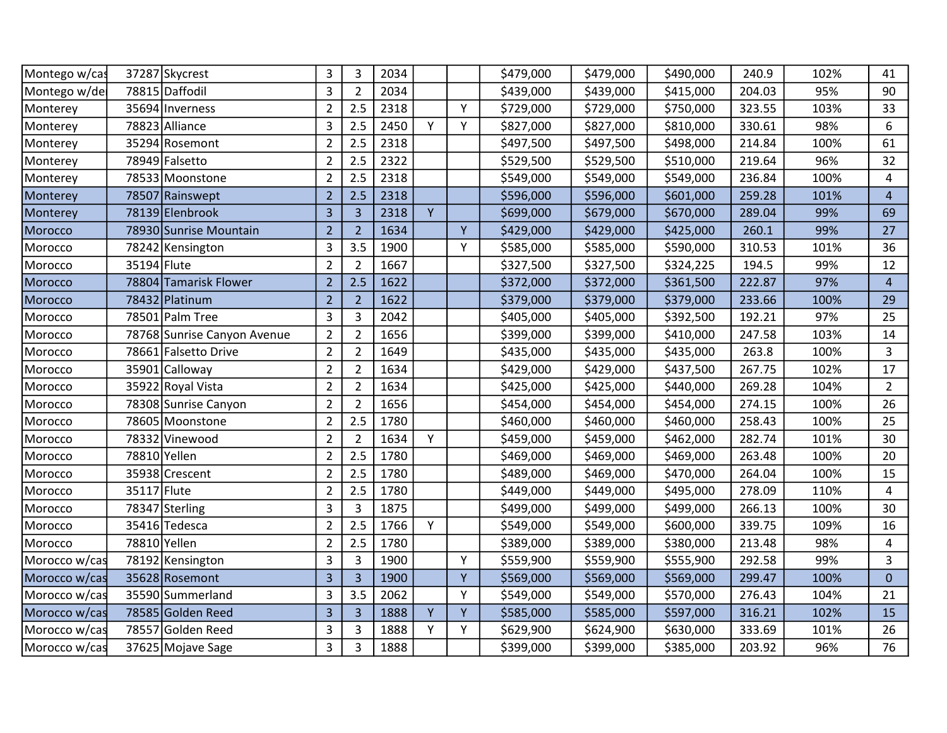| Montego w/cas |             | 37287 Skycrest              | 3              | 3              | 2034 |   |   | \$479,000 | \$479,000 | \$490,000 | 240.9  | 102% | 41             |
|---------------|-------------|-----------------------------|----------------|----------------|------|---|---|-----------|-----------|-----------|--------|------|----------------|
| Montego w/de  |             | 78815 Daffodil              | 3              | $\overline{2}$ | 2034 |   |   | \$439,000 | \$439,000 | \$415,000 | 204.03 | 95%  | 90             |
| Monterey      |             | 35694 Inverness             | $\overline{2}$ | 2.5            | 2318 |   | Y | \$729,000 | \$729,000 | \$750,000 | 323.55 | 103% | 33             |
| Monterey      |             | 78823 Alliance              | 3              | 2.5            | 2450 | Y | Y | \$827,000 | \$827,000 | \$810,000 | 330.61 | 98%  | 6              |
| Monterey      |             | 35294 Rosemont              | $\overline{2}$ | 2.5            | 2318 |   |   | \$497,500 | \$497,500 | \$498,000 | 214.84 | 100% | 61             |
| Monterey      |             | 78949 Falsetto              | $\overline{2}$ | 2.5            | 2322 |   |   | \$529,500 | \$529,500 | \$510,000 | 219.64 | 96%  | 32             |
| Monterey      |             | 78533 Moonstone             | $\overline{2}$ | 2.5            | 2318 |   |   | \$549,000 | \$549,000 | \$549,000 | 236.84 | 100% | 4              |
| Monterey      |             | 78507 Rainswept             | $\overline{2}$ | 2.5            | 2318 |   |   | \$596,000 | \$596,000 | \$601,000 | 259.28 | 101% | $\overline{4}$ |
| Monterey      |             | 78139 Elenbrook             | 3              | $\overline{3}$ | 2318 | Y |   | \$699,000 | \$679,000 | \$670,000 | 289.04 | 99%  | 69             |
| Morocco       |             | 78930 Sunrise Mountain      | $\overline{2}$ | $\overline{2}$ | 1634 |   | Y | \$429,000 | \$429,000 | \$425,000 | 260.1  | 99%  | 27             |
| Morocco       |             | 78242 Kensington            | 3              | 3.5            | 1900 |   | Y | \$585,000 | \$585,000 | \$590,000 | 310.53 | 101% | 36             |
| Morocco       | 35194 Flute |                             | $\overline{2}$ | $\overline{2}$ | 1667 |   |   | \$327,500 | \$327,500 | \$324,225 | 194.5  | 99%  | 12             |
| Morocco       |             | 78804 Tamarisk Flower       | $\overline{2}$ | 2.5            | 1622 |   |   | \$372,000 | \$372,000 | \$361,500 | 222.87 | 97%  | $\overline{4}$ |
| Morocco       |             | 78432 Platinum              | $\overline{2}$ | $\overline{2}$ | 1622 |   |   | \$379,000 | \$379,000 | \$379,000 | 233.66 | 100% | 29             |
| Morocco       |             | 78501 Palm Tree             | 3              | 3              | 2042 |   |   | \$405,000 | \$405,000 | \$392,500 | 192.21 | 97%  | 25             |
| Morocco       |             | 78768 Sunrise Canyon Avenue | $\overline{2}$ | $\overline{2}$ | 1656 |   |   | \$399,000 | \$399,000 | \$410,000 | 247.58 | 103% | 14             |
| Morocco       |             | 78661 Falsetto Drive        | $\overline{2}$ | $\overline{2}$ | 1649 |   |   | \$435,000 | \$435,000 | \$435,000 | 263.8  | 100% | $\overline{3}$ |
| Morocco       |             | 35901 Calloway              | $\overline{2}$ | $\overline{2}$ | 1634 |   |   | \$429,000 | \$429,000 | \$437,500 | 267.75 | 102% | 17             |
| Morocco       |             | 35922 Royal Vista           | $\overline{2}$ | $\overline{2}$ | 1634 |   |   | \$425,000 | \$425,000 | \$440,000 | 269.28 | 104% | $\overline{2}$ |
| Morocco       |             | 78308 Sunrise Canyon        | $\overline{2}$ | $\overline{2}$ | 1656 |   |   | \$454,000 | \$454,000 | \$454,000 | 274.15 | 100% | 26             |
| Morocco       |             | 78605 Moonstone             | $\overline{2}$ | 2.5            | 1780 |   |   | \$460,000 | \$460,000 | \$460,000 | 258.43 | 100% | 25             |
| Morocco       |             | 78332 Vinewood              | $\overline{2}$ | $\overline{2}$ | 1634 | Υ |   | \$459,000 | \$459,000 | \$462,000 | 282.74 | 101% | 30             |
| Morocco       |             | 78810 Yellen                | $\overline{2}$ | 2.5            | 1780 |   |   | \$469,000 | \$469,000 | \$469,000 | 263.48 | 100% | 20             |
| Morocco       |             | 35938 Crescent              | $\overline{2}$ | 2.5            | 1780 |   |   | \$489,000 | \$469,000 | \$470,000 | 264.04 | 100% | 15             |
| Morocco       | 35117 Flute |                             | $\overline{2}$ | 2.5            | 1780 |   |   | \$449,000 | \$449,000 | \$495,000 | 278.09 | 110% | 4              |
| Morocco       |             | 78347 Sterling              | 3              | 3              | 1875 |   |   | \$499,000 | \$499,000 | \$499,000 | 266.13 | 100% | 30             |
| Morocco       |             | 35416 Tedesca               | $\overline{2}$ | 2.5            | 1766 | Υ |   | \$549,000 | \$549,000 | \$600,000 | 339.75 | 109% | 16             |
| Morocco       |             | 78810 Yellen                | $\overline{2}$ | 2.5            | 1780 |   |   | \$389,000 | \$389,000 | \$380,000 | 213.48 | 98%  | 4              |
| Morocco w/cas |             | 78192 Kensington            | 3              | $\overline{3}$ | 1900 |   | Y | \$559,900 | \$559,900 | \$555,900 | 292.58 | 99%  | $\overline{3}$ |
| Morocco w/cas |             | 35628 Rosemont              | 3              | $\overline{3}$ | 1900 |   | Y | \$569,000 | \$569,000 | \$569,000 | 299.47 | 100% | $\mathbf{0}$   |
| Morocco w/cas |             | 35590 Summerland            | 3              | 3.5            | 2062 |   | Y | \$549,000 | \$549,000 | \$570,000 | 276.43 | 104% | 21             |
| Morocco w/cas |             | 78585 Golden Reed           | 3              | $\overline{3}$ | 1888 | Y | Y | \$585,000 | \$585,000 | \$597,000 | 316.21 | 102% | 15             |
| Morocco w/cas |             | 78557 Golden Reed           | 3              | 3              | 1888 | Υ | Υ | \$629,900 | \$624,900 | \$630,000 | 333.69 | 101% | 26             |
| Morocco w/cas |             | 37625 Mojave Sage           | 3              | 3              | 1888 |   |   | \$399,000 | \$399,000 | \$385,000 | 203.92 | 96%  | 76             |
|               |             |                             |                |                |      |   |   |           |           |           |        |      |                |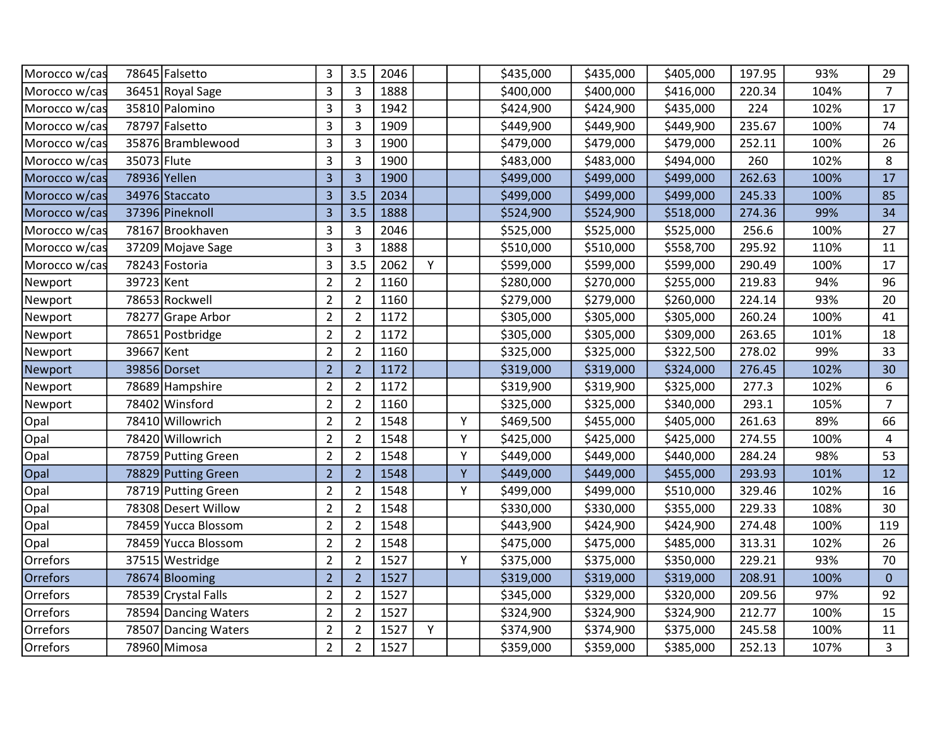| Morocco w/cas |             | 78645 Falsetto       | 3              | 3.5            | 2046 |   |   | \$435,000 | \$435,000 | \$405,000 | 197.95 | 93%  | 29             |
|---------------|-------------|----------------------|----------------|----------------|------|---|---|-----------|-----------|-----------|--------|------|----------------|
| Morocco w/cas |             | 36451 Royal Sage     | 3              | 3              | 1888 |   |   | \$400,000 | \$400,000 | \$416,000 | 220.34 | 104% | $\overline{7}$ |
| Morocco w/cas |             | 35810 Palomino       | $\overline{3}$ | 3              | 1942 |   |   | \$424,900 | \$424,900 | \$435,000 | 224    | 102% | 17             |
| Morocco w/cas |             | 78797 Falsetto       | 3              | 3              | 1909 |   |   | \$449,900 | \$449,900 | \$449,900 | 235.67 | 100% | 74             |
| Morocco w/cas |             | 35876 Bramblewood    | 3              | 3              | 1900 |   |   | \$479,000 | \$479,000 | \$479,000 | 252.11 | 100% | 26             |
| Morocco w/cas | 35073 Flute |                      | 3              | 3              | 1900 |   |   | \$483,000 | \$483,000 | \$494,000 | 260    | 102% | 8              |
| Morocco w/cas |             | 78936 Yellen         | $\overline{3}$ | $\overline{3}$ | 1900 |   |   | \$499,000 | \$499,000 | \$499,000 | 262.63 | 100% | 17             |
| Morocco w/cas |             | 34976 Staccato       | $\overline{3}$ | 3.5            | 2034 |   |   | \$499,000 | \$499,000 | \$499,000 | 245.33 | 100% | 85             |
| Morocco w/cas |             | 37396 Pineknoll      | $\overline{3}$ | 3.5            | 1888 |   |   | \$524,900 | \$524,900 | \$518,000 | 274.36 | 99%  | 34             |
| Morocco w/cas |             | 78167 Brookhaven     | 3              | 3              | 2046 |   |   | \$525,000 | \$525,000 | \$525,000 | 256.6  | 100% | 27             |
| Morocco w/cas |             | 37209 Mojave Sage    | 3              | 3              | 1888 |   |   | \$510,000 | \$510,000 | \$558,700 | 295.92 | 110% | 11             |
| Morocco w/cas |             | 78243 Fostoria       | 3              | 3.5            | 2062 | Y |   | \$599,000 | \$599,000 | \$599,000 | 290.49 | 100% | 17             |
| Newport       | 39723 Kent  |                      | $\overline{2}$ | $\overline{2}$ | 1160 |   |   | \$280,000 | \$270,000 | \$255,000 | 219.83 | 94%  | 96             |
| Newport       |             | 78653 Rockwell       | $\overline{2}$ | $\overline{2}$ | 1160 |   |   | \$279,000 | \$279,000 | \$260,000 | 224.14 | 93%  | 20             |
| Newport       |             | 78277 Grape Arbor    | $\overline{2}$ | $\overline{2}$ | 1172 |   |   | \$305,000 | \$305,000 | \$305,000 | 260.24 | 100% | 41             |
| Newport       |             | 78651 Postbridge     | $\overline{2}$ | $\overline{2}$ | 1172 |   |   | \$305,000 | \$305,000 | \$309,000 | 263.65 | 101% | 18             |
| Newport       | 39667 Kent  |                      | $\overline{2}$ | $\overline{2}$ | 1160 |   |   | \$325,000 | \$325,000 | \$322,500 | 278.02 | 99%  | 33             |
| Newport       |             | 39856 Dorset         | $\overline{2}$ | $\overline{2}$ | 1172 |   |   | \$319,000 | \$319,000 | \$324,000 | 276.45 | 102% | 30             |
| Newport       |             | 78689 Hampshire      | $\overline{2}$ | $\overline{2}$ | 1172 |   |   | \$319,900 | \$319,900 | \$325,000 | 277.3  | 102% | 6              |
| Newport       |             | 78402 Winsford       | $\overline{2}$ | $\overline{2}$ | 1160 |   |   | \$325,000 | \$325,000 | \$340,000 | 293.1  | 105% | $\overline{7}$ |
| Opal          |             | 78410 Willowrich     | $\overline{2}$ | $\overline{2}$ | 1548 |   | Y | \$469,500 | \$455,000 | \$405,000 | 261.63 | 89%  | 66             |
| Opal          |             | 78420 Willowrich     | $\overline{2}$ | $\overline{2}$ | 1548 |   | Y | \$425,000 | \$425,000 | \$425,000 | 274.55 | 100% | 4              |
| Opal          |             | 78759 Putting Green  | $\overline{2}$ | $\overline{2}$ | 1548 |   | Y | \$449,000 | \$449,000 | \$440,000 | 284.24 | 98%  | 53             |
| Opal          |             | 78829 Putting Green  | $\overline{2}$ | $\overline{2}$ | 1548 |   | Y | \$449,000 | \$449,000 | \$455,000 | 293.93 | 101% | 12             |
| Opal          |             | 78719 Putting Green  | $\overline{2}$ | $\overline{2}$ | 1548 |   | Y | \$499,000 | \$499,000 | \$510,000 | 329.46 | 102% | 16             |
| Opal          |             | 78308 Desert Willow  | $\overline{2}$ | $\overline{2}$ | 1548 |   |   | \$330,000 | \$330,000 | \$355,000 | 229.33 | 108% | 30             |
| Opal          |             | 78459 Yucca Blossom  | $\overline{2}$ | $\overline{2}$ | 1548 |   |   | \$443,900 | \$424,900 | \$424,900 | 274.48 | 100% | 119            |
| Opal          |             | 78459 Yucca Blossom  | $\overline{2}$ | $\overline{2}$ | 1548 |   |   | \$475,000 | \$475,000 | \$485,000 | 313.31 | 102% | 26             |
| Orrefors      |             | 37515 Westridge      | $\overline{2}$ | $\overline{2}$ | 1527 |   | Y | \$375,000 | \$375,000 | \$350,000 | 229.21 | 93%  | 70             |
| Orrefors      |             | 78674 Blooming       | $\overline{2}$ | $\overline{2}$ | 1527 |   |   | \$319,000 | \$319,000 | \$319,000 | 208.91 | 100% | $\overline{0}$ |
| Orrefors      |             | 78539 Crystal Falls  | $\overline{2}$ | $\overline{2}$ | 1527 |   |   | \$345,000 | \$329,000 | \$320,000 | 209.56 | 97%  | 92             |
| Orrefors      |             | 78594 Dancing Waters | $\overline{2}$ | $\overline{2}$ | 1527 |   |   | \$324,900 | \$324,900 | \$324,900 | 212.77 | 100% | 15             |
| Orrefors      |             | 78507 Dancing Waters | $\overline{2}$ | $\overline{2}$ | 1527 | Υ |   | \$374,900 | \$374,900 | \$375,000 | 245.58 | 100% | 11             |
| Orrefors      |             | 78960 Mimosa         | $\overline{2}$ | $\overline{2}$ | 1527 |   |   | \$359,000 | \$359,000 | \$385,000 | 252.13 | 107% | $\overline{3}$ |
|               |             |                      |                |                |      |   |   |           |           |           |        |      |                |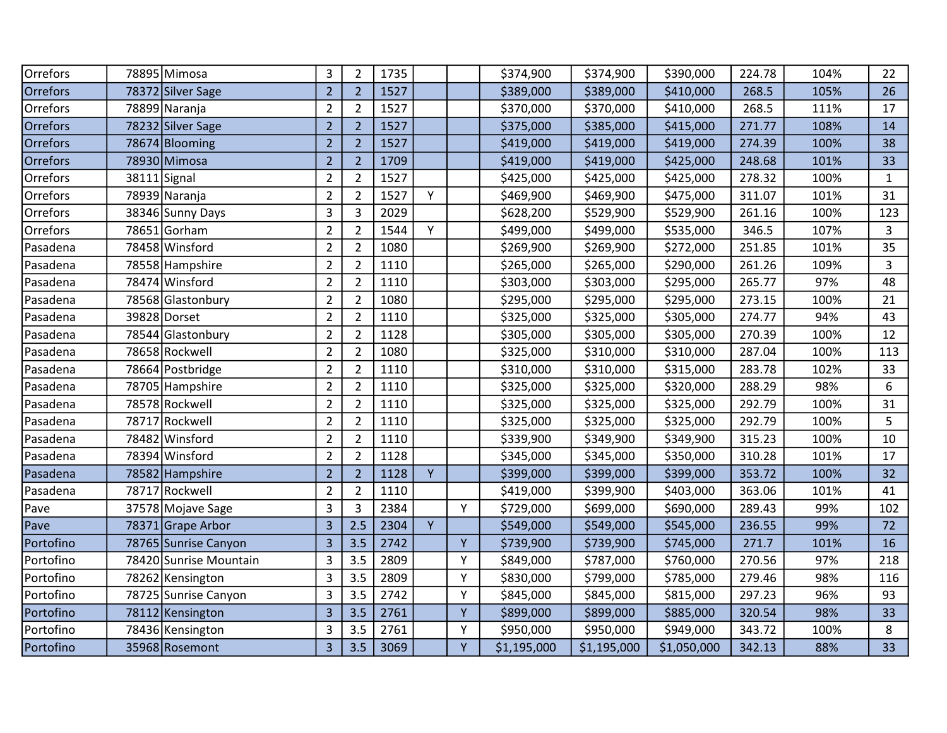| Orrefors  | 78895 Mimosa           | 3              | $\overline{2}$ | 1735 |   |    | \$374,900   | \$374,900   | \$390,000   | 224.78 | 104% | 22           |
|-----------|------------------------|----------------|----------------|------|---|----|-------------|-------------|-------------|--------|------|--------------|
| Orrefors  | 78372 Silver Sage      | $\overline{2}$ | $\overline{2}$ | 1527 |   |    | \$389,000   | \$389,000   | \$410,000   | 268.5  | 105% | 26           |
| Orrefors  | 78899 Naranja          | $\overline{2}$ | $\overline{2}$ | 1527 |   |    | \$370,000   | \$370,000   | \$410,000   | 268.5  | 111% | 17           |
| Orrefors  | 78232 Silver Sage      | $\overline{2}$ | $\overline{2}$ | 1527 |   |    | \$375,000   | \$385,000   | \$415,000   | 271.77 | 108% | 14           |
| Orrefors  | 78674 Blooming         | $\overline{2}$ | $\overline{2}$ | 1527 |   |    | \$419,000   | \$419,000   | \$419,000   | 274.39 | 100% | 38           |
| Orrefors  | 78930 Mimosa           | $\overline{2}$ | $\overline{2}$ | 1709 |   |    | \$419,000   | \$419,000   | \$425,000   | 248.68 | 101% | 33           |
| Orrefors  | 38111<br>Signal        | $\overline{2}$ | $\overline{2}$ | 1527 |   |    | \$425,000   | \$425,000   | \$425,000   | 278.32 | 100% | $\mathbf{1}$ |
| Orrefors  | 78939 Naranja          | $\overline{2}$ | $\overline{2}$ | 1527 | Y |    | \$469,900   | \$469,900   | \$475,000   | 311.07 | 101% | 31           |
| Orrefors  | 38346 Sunny Days       | 3              | 3              | 2029 |   |    | \$628,200   | \$529,900   | \$529,900   | 261.16 | 100% | 123          |
| Orrefors  | 78651 Gorham           | $\overline{2}$ | $\overline{2}$ | 1544 | Y |    | \$499,000   | \$499,000   | \$535,000   | 346.5  | 107% | 3            |
| Pasadena  | 78458 Winsford         | $\overline{2}$ | $\overline{2}$ | 1080 |   |    | \$269,900   | \$269,900   | \$272,000   | 251.85 | 101% | 35           |
| Pasadena  | 78558 Hampshire        | $\overline{2}$ | $\overline{2}$ | 1110 |   |    | \$265,000   | \$265,000   | \$290,000   | 261.26 | 109% | 3            |
| Pasadena  | 78474 Winsford         | $\overline{2}$ | $\overline{2}$ | 1110 |   |    | \$303,000   | \$303,000   | \$295,000   | 265.77 | 97%  | 48           |
| Pasadena  | 78568 Glastonbury      | $\overline{2}$ | $\overline{2}$ | 1080 |   |    | \$295,000   | \$295,000   | \$295,000   | 273.15 | 100% | 21           |
| Pasadena  | 39828 Dorset           | $\overline{2}$ | $\overline{2}$ | 1110 |   |    | \$325,000   | \$325,000   | \$305,000   | 274.77 | 94%  | 43           |
| Pasadena  | 78544 Glastonbury      | $\overline{2}$ | $\overline{2}$ | 1128 |   |    | \$305,000   | \$305,000   | \$305,000   | 270.39 | 100% | 12           |
| Pasadena  | 78658 Rockwell         | $\overline{2}$ | $\overline{2}$ | 1080 |   |    | \$325,000   | \$310,000   | \$310,000   | 287.04 | 100% | 113          |
| Pasadena  | 78664 Postbridge       | $\overline{2}$ | $\overline{2}$ | 1110 |   |    | \$310,000   | \$310,000   | \$315,000   | 283.78 | 102% | 33           |
| Pasadena  | 78705 Hampshire        | $\overline{2}$ | $\overline{2}$ | 1110 |   |    | \$325,000   | \$325,000   | \$320,000   | 288.29 | 98%  | 6            |
| Pasadena  | 78578 Rockwell         | $\overline{2}$ | $\overline{2}$ | 1110 |   |    | \$325,000   | \$325,000   | \$325,000   | 292.79 | 100% | 31           |
| Pasadena  | 78717 Rockwell         | $\overline{2}$ | $\overline{2}$ | 1110 |   |    | \$325,000   | \$325,000   | \$325,000   | 292.79 | 100% | 5            |
| Pasadena  | 78482 Winsford         | $\overline{2}$ | $\overline{2}$ | 1110 |   |    | \$339,900   | \$349,900   | \$349,900   | 315.23 | 100% | 10           |
| Pasadena  | 78394 Winsford         | $\overline{2}$ | $\overline{2}$ | 1128 |   |    | \$345,000   | \$345,000   | \$350,000   | 310.28 | 101% | 17           |
| Pasadena  | 78582 Hampshire        | $\overline{2}$ | $\overline{2}$ | 1128 | Y |    | \$399,000   | \$399,000   | \$399,000   | 353.72 | 100% | 32           |
| Pasadena  | 78717 Rockwell         | $\overline{2}$ | $\overline{2}$ | 1110 |   |    | \$419,000   | \$399,900   | \$403,000   | 363.06 | 101% | 41           |
| Pave      | 37578 Mojave Sage      | 3              | 3              | 2384 |   | Y  | \$729,000   | \$699,000   | \$690,000   | 289.43 | 99%  | 102          |
| Pave      | 78371 Grape Arbor      | 3              | 2.5            | 2304 | Y |    | \$549,000   | \$549,000   | \$545,000   | 236.55 | 99%  | 72           |
| Portofino | 78765 Sunrise Canyon   | 3              | 3.5            | 2742 |   | Y  | \$739,900   | \$739,900   | \$745,000   | 271.7  | 101% | 16           |
| Portofino | 78420 Sunrise Mountain | 3              | 3.5            | 2809 |   | Y  | \$849,000   | \$787,000   | \$760,000   | 270.56 | 97%  | 218          |
| Portofino | 78262 Kensington       | 3              | 3.5            | 2809 |   | Y  | \$830,000   | \$799,000   | \$785,000   | 279.46 | 98%  | 116          |
| Portofino | 78725 Sunrise Canyon   | 3              | 3.5            | 2742 |   | Y  | \$845,000   | \$845,000   | \$815,000   | 297.23 | 96%  | 93           |
| Portofino | 78112 Kensington       | 3              | 3.5            | 2761 |   | Y  | \$899,000   | \$899,000   | \$885,000   | 320.54 | 98%  | 33           |
| Portofino | 78436 Kensington       | 3              | 3.5            | 2761 |   | Y  | \$950,000   | \$950,000   | \$949,000   | 343.72 | 100% | 8            |
| Portofino | 35968 Rosemont         | 3              | 3.5            | 3069 |   | Y. | \$1,195,000 | \$1,195,000 | \$1,050,000 | 342.13 | 88%  | 33           |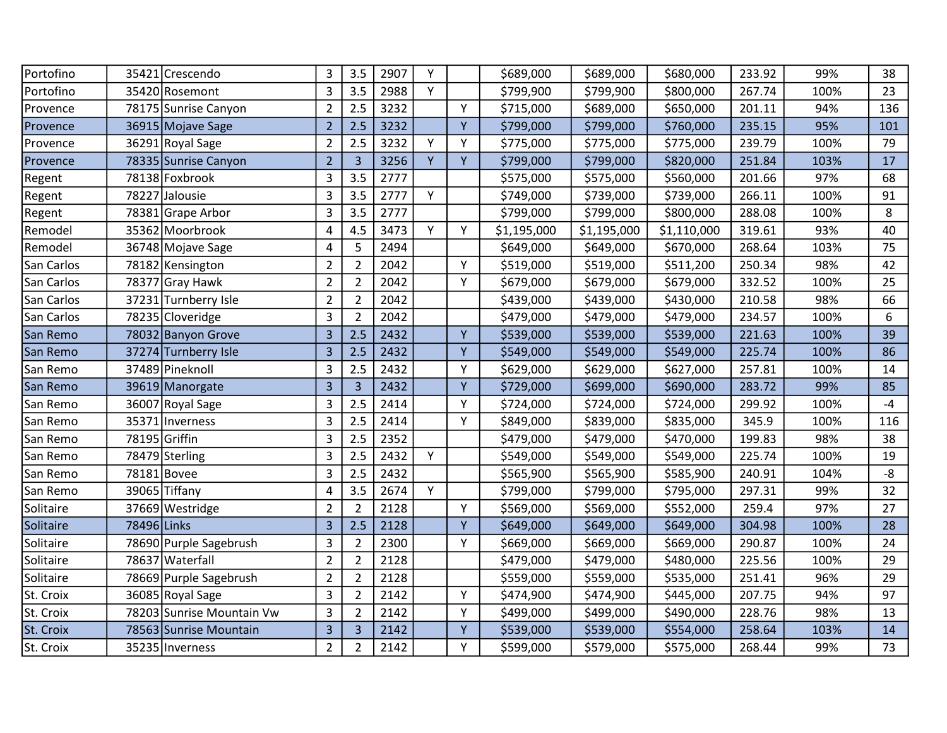| 35421 Crescendo           | 3              | 3.5                     | 2907 | Υ |   | \$689,000   | \$689,000   | \$680,000   | 233.92 | 99%  | 38   |
|---------------------------|----------------|-------------------------|------|---|---|-------------|-------------|-------------|--------|------|------|
| 35420 Rosemont            | 3              | 3.5                     | 2988 | Y |   | \$799,900   | \$799,900   | \$800,000   | 267.74 | 100% | 23   |
| 78175 Sunrise Canyon      | 2              | 2.5                     | 3232 |   | Y | \$715,000   | \$689,000   | \$650,000   | 201.11 | 94%  | 136  |
| 36915 Mojave Sage         | $\overline{2}$ | 2.5                     | 3232 |   | Y | \$799,000   | \$799,000   | \$760,000   | 235.15 | 95%  | 101  |
| 36291 Royal Sage          | $\overline{2}$ | 2.5                     | 3232 | Y | Y | \$775,000   | \$775,000   | \$775,000   | 239.79 | 100% | 79   |
| 78335 Sunrise Canyon      | $\overline{2}$ | $\overline{3}$          | 3256 | Y | Y | \$799,000   | \$799,000   | \$820,000   | 251.84 | 103% | 17   |
| 78138 Foxbrook            | 3              | 3.5                     | 2777 |   |   | \$575,000   | \$575,000   | \$560,000   | 201.66 | 97%  | 68   |
| 78227<br>Jalousie         | 3              | 3.5                     | 2777 | Y |   | \$749,000   | \$739,000   | \$739,000   | 266.11 | 100% | 91   |
| 78381 Grape Arbor         | 3              | 3.5                     | 2777 |   |   | \$799,000   | \$799,000   | \$800,000   | 288.08 | 100% | 8    |
| 35362 Moorbrook           | 4              | 4.5                     | 3473 | Y | Y | \$1,195,000 | \$1,195,000 | \$1,110,000 | 319.61 | 93%  | 40   |
| 36748 Mojave Sage         | 4              | 5                       | 2494 |   |   | \$649,000   | \$649,000   | \$670,000   | 268.64 | 103% | 75   |
| 78182 Kensington          | $\overline{2}$ | $\overline{2}$          | 2042 |   | Y | \$519,000   | \$519,000   | \$511,200   | 250.34 | 98%  | 42   |
| 78377 Gray Hawk           | $\overline{2}$ | $\overline{2}$          | 2042 |   | Y | \$679,000   | \$679,000   | \$679,000   | 332.52 | 100% | 25   |
| 37231 Turnberry Isle      | $\overline{2}$ | $\overline{2}$          | 2042 |   |   | \$439,000   | \$439,000   | \$430,000   | 210.58 | 98%  | 66   |
| 78235 Cloveridge          | 3              | $\overline{2}$          | 2042 |   |   | \$479,000   | \$479,000   | \$479,000   | 234.57 | 100% | 6    |
| 78032 Banyon Grove        | 3              | 2.5                     | 2432 |   | Y | \$539,000   | \$539,000   | \$539,000   | 221.63 | 100% | 39   |
| 37274 Turnberry Isle      | 3              | 2.5                     | 2432 |   | Y | \$549,000   | \$549,000   | \$549,000   | 225.74 | 100% | 86   |
| 37489 Pineknoll           | 3              | 2.5                     | 2432 |   | Y | \$629,000   | \$629,000   | \$627,000   | 257.81 | 100% | 14   |
| 39619 Manorgate           | $\overline{3}$ | $\overline{\mathbf{3}}$ | 2432 |   | Y | \$729,000   | \$699,000   | \$690,000   | 283.72 | 99%  | 85   |
| 36007 Royal Sage          | 3              | 2.5                     | 2414 |   | Y | \$724,000   | \$724,000   | \$724,000   | 299.92 | 100% | $-4$ |
| 35371   Inverness         | 3              | 2.5                     | 2414 |   | Y | \$849,000   | \$839,000   | \$835,000   | 345.9  | 100% | 116  |
| 78195 Griffin             | 3              | 2.5                     | 2352 |   |   | \$479,000   | \$479,000   | \$470,000   | 199.83 | 98%  | 38   |
| 78479 Sterling            | 3              | 2.5                     | 2432 | Y |   | \$549,000   | \$549,000   | \$549,000   | 225.74 | 100% | 19   |
| 78181 Bovee               | 3              | 2.5                     | 2432 |   |   | \$565,900   | \$565,900   | \$585,900   | 240.91 | 104% | -8   |
| 39065 Tiffany             | 4              | 3.5                     | 2674 | Y |   | \$799,000   | \$799,000   | \$795,000   | 297.31 | 99%  | 32   |
| 37669 Westridge           | $\overline{2}$ | $\overline{2}$          | 2128 |   | Y | \$569,000   | \$569,000   | \$552,000   | 259.4  | 97%  | 27   |
| 78496 Links               | 3              | 2.5                     | 2128 |   | Y | \$649,000   | \$649,000   | \$649,000   | 304.98 | 100% | 28   |
| 78690 Purple Sagebrush    | 3              | $\overline{2}$          | 2300 |   | Υ | \$669,000   | \$669,000   | \$669,000   | 290.87 | 100% | 24   |
| 78637 Waterfall           | $\overline{2}$ | $\overline{2}$          | 2128 |   |   | \$479,000   | \$479,000   | \$480,000   | 225.56 | 100% | 29   |
| 78669 Purple Sagebrush    | $\overline{2}$ | $\overline{2}$          | 2128 |   |   | \$559,000   | \$559,000   | \$535,000   | 251.41 | 96%  | 29   |
| 36085 Royal Sage          | 3              | $\overline{2}$          | 2142 |   | Y | \$474,900   | \$474,900   | \$445,000   | 207.75 | 94%  | 97   |
| 78203 Sunrise Mountain Vw | 3              | $\overline{2}$          | 2142 |   | Y | \$499,000   | \$499,000   | \$490,000   | 228.76 | 98%  | 13   |
| 78563 Sunrise Mountain    | 3              | $\overline{3}$          | 2142 |   | Y | \$539,000   | \$539,000   | \$554,000   | 258.64 | 103% | 14   |
| 35235 Inverness           | $\overline{2}$ | $\overline{2}$          | 2142 |   | Y | \$599,000   | \$579,000   | \$575,000   | 268.44 | 99%  | 73   |
|                           |                |                         |      |   |   |             |             |             |        |      |      |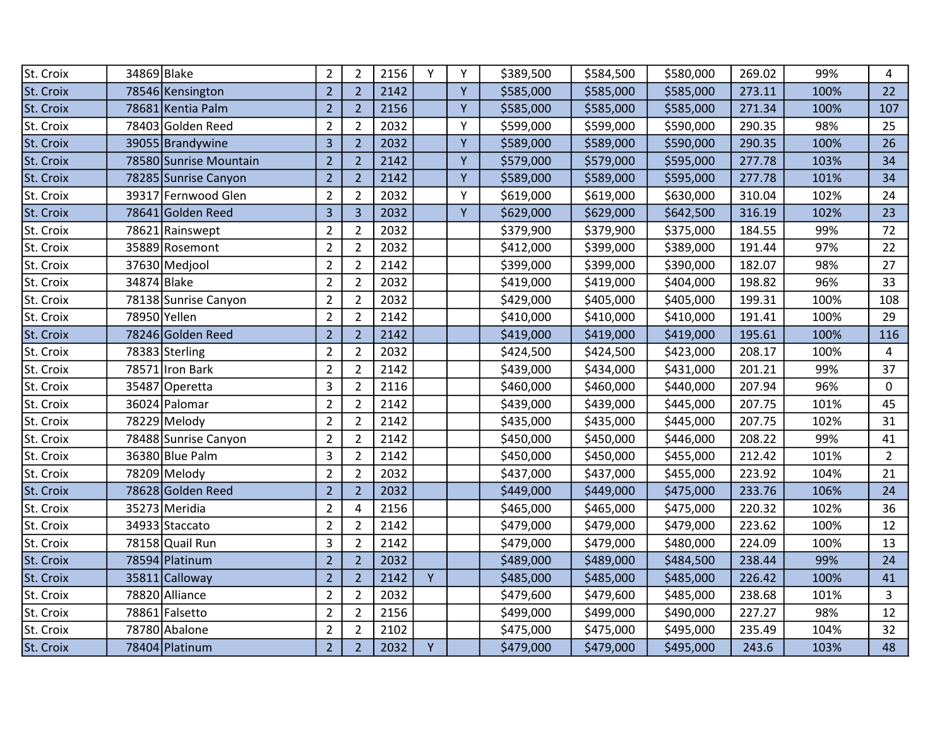| St. Croix | 34869 Blake            | $\overline{2}$ | $\overline{2}$ | 2156 | Υ | Y | \$389,500 | \$584,500 | \$580,000 | 269.02 | 99%  | 4              |
|-----------|------------------------|----------------|----------------|------|---|---|-----------|-----------|-----------|--------|------|----------------|
| St. Croix | 78546 Kensington       | $\overline{2}$ | $\overline{2}$ | 2142 |   | Y | \$585,000 | \$585,000 | \$585,000 | 273.11 | 100% | 22             |
| St. Croix | 78681 Kentia Palm      | $\overline{2}$ | $\overline{2}$ | 2156 |   | Y | \$585,000 | \$585,000 | \$585,000 | 271.34 | 100% | 107            |
| St. Croix | 78403 Golden Reed      | $\overline{2}$ | $\overline{2}$ | 2032 |   | Y | \$599,000 | \$599,000 | \$590,000 | 290.35 | 98%  | 25             |
| St. Croix | 39055 Brandywine       | 3              | $\overline{2}$ | 2032 |   | Y | \$589,000 | \$589,000 | \$590,000 | 290.35 | 100% | 26             |
| St. Croix | 78580 Sunrise Mountain | $\overline{2}$ | $\overline{2}$ | 2142 |   | Y | \$579,000 | \$579,000 | \$595,000 | 277.78 | 103% | 34             |
| St. Croix | 78285 Sunrise Canyon   | $\overline{2}$ | $\overline{2}$ | 2142 |   | Y | \$589,000 | \$589,000 | \$595,000 | 277.78 | 101% | 34             |
| St. Croix | 39317 Fernwood Glen    | $\overline{2}$ | $\overline{2}$ | 2032 |   | Y | \$619,000 | \$619,000 | \$630,000 | 310.04 | 102% | 24             |
| St. Croix | 78641 Golden Reed      | 3              | $\overline{3}$ | 2032 |   | Y | \$629,000 | \$629,000 | \$642,500 | 316.19 | 102% | 23             |
| St. Croix | 78621 Rainswept        | $\overline{2}$ | $\overline{2}$ | 2032 |   |   | \$379,900 | \$379,900 | \$375,000 | 184.55 | 99%  | 72             |
| St. Croix | 35889 Rosemont         | $\overline{2}$ | $\overline{2}$ | 2032 |   |   | \$412,000 | \$399,000 | \$389,000 | 191.44 | 97%  | 22             |
| St. Croix | 37630 Medjool          | $\overline{2}$ | $\overline{2}$ | 2142 |   |   | \$399,000 | \$399,000 | \$390,000 | 182.07 | 98%  | 27             |
| St. Croix | 34874 Blake            | $\overline{2}$ | $\overline{2}$ | 2032 |   |   | \$419,000 | \$419,000 | \$404,000 | 198.82 | 96%  | 33             |
| St. Croix | 78138 Sunrise Canyon   | $\overline{2}$ | $\overline{2}$ | 2032 |   |   | \$429,000 | \$405,000 | \$405,000 | 199.31 | 100% | 108            |
| St. Croix | 78950 Yellen           | $\overline{2}$ | $\overline{2}$ | 2142 |   |   | \$410,000 | \$410,000 | \$410,000 | 191.41 | 100% | 29             |
| St. Croix | 78246 Golden Reed      | $\overline{2}$ | $\overline{2}$ | 2142 |   |   | \$419,000 | \$419,000 | \$419,000 | 195.61 | 100% | 116            |
| St. Croix | 78383 Sterling         | $\overline{2}$ | $\overline{2}$ | 2032 |   |   | \$424,500 | \$424,500 | \$423,000 | 208.17 | 100% | $\overline{4}$ |
| St. Croix | 78571 Iron Bark        | $\overline{2}$ | $\overline{2}$ | 2142 |   |   | \$439,000 | \$434,000 | \$431,000 | 201.21 | 99%  | 37             |
| St. Croix | 35487 Operetta         | 3              | $\overline{2}$ | 2116 |   |   | \$460,000 | \$460,000 | \$440,000 | 207.94 | 96%  | $\mathbf{0}$   |
| St. Croix | 36024 Palomar          | $\overline{2}$ | $\overline{2}$ | 2142 |   |   | \$439,000 | \$439,000 | \$445,000 | 207.75 | 101% | 45             |
| St. Croix | 78229 Melody           | $\overline{2}$ | $\overline{2}$ | 2142 |   |   | \$435,000 | \$435,000 | \$445,000 | 207.75 | 102% | 31             |
| St. Croix | 78488 Sunrise Canyon   | $\overline{2}$ | $\overline{2}$ | 2142 |   |   | \$450,000 | \$450,000 | \$446,000 | 208.22 | 99%  | 41             |
| St. Croix | 36380 Blue Palm        | 3              | $\overline{2}$ | 2142 |   |   | \$450,000 | \$450,000 | \$455,000 | 212.42 | 101% | $\overline{2}$ |
| St. Croix | 78209 Melody           | $\overline{2}$ | $\overline{2}$ | 2032 |   |   | \$437,000 | \$437,000 | \$455,000 | 223.92 | 104% | 21             |
| St. Croix | 78628 Golden Reed      | $\overline{2}$ | $\overline{2}$ | 2032 |   |   | \$449,000 | \$449,000 | \$475,000 | 233.76 | 106% | 24             |
| St. Croix | 35273 Meridia          | $\overline{2}$ | 4              | 2156 |   |   | \$465,000 | \$465,000 | \$475,000 | 220.32 | 102% | 36             |
| St. Croix | 34933 Staccato         | $\overline{2}$ | $\overline{2}$ | 2142 |   |   | \$479,000 | \$479,000 | \$479,000 | 223.62 | 100% | 12             |
| St. Croix | 78158 Quail Run        | 3              | $\overline{2}$ | 2142 |   |   | \$479,000 | \$479,000 | \$480,000 | 224.09 | 100% | 13             |
| St. Croix | 78594 Platinum         | $\overline{2}$ | $\overline{2}$ | 2032 |   |   | \$489,000 | \$489,000 | \$484,500 | 238.44 | 99%  | 24             |
| St. Croix | 35811 Calloway         | $\overline{2}$ | $\overline{2}$ | 2142 | Y |   | \$485,000 | \$485,000 | \$485,000 | 226.42 | 100% | 41             |
| St. Croix | 78820 Alliance         | $\overline{2}$ | $\overline{2}$ | 2032 |   |   | \$479,600 | \$479,600 | \$485,000 | 238.68 | 101% | 3              |
| St. Croix | 78861 Falsetto         | $\overline{2}$ | $\overline{2}$ | 2156 |   |   | \$499,000 | \$499,000 | \$490,000 | 227.27 | 98%  | 12             |
| St. Croix | 78780 Abalone          | $\overline{2}$ | $\overline{2}$ | 2102 |   |   | \$475,000 | \$475,000 | \$495,000 | 235.49 | 104% | 32             |
| St. Croix | 78404 Platinum         | $\overline{2}$ | $\overline{2}$ | 2032 | Y |   | \$479,000 | \$479,000 | \$495,000 | 243.6  | 103% | 48             |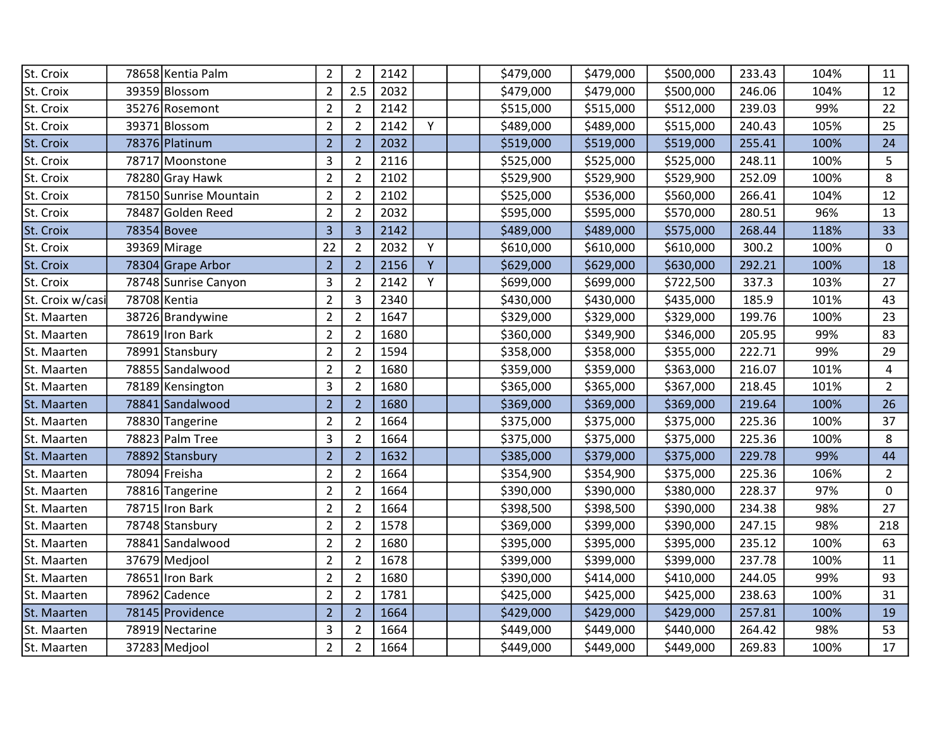| St. Croix        | 78658 Kentia Palm      | $\overline{2}$ | $\overline{2}$ | 2142 |   | \$479,000 | \$479,000 | \$500,000 | 233.43 | 104% | 11             |
|------------------|------------------------|----------------|----------------|------|---|-----------|-----------|-----------|--------|------|----------------|
| St. Croix        | 39359 Blossom          | $\overline{2}$ | 2.5            | 2032 |   | \$479,000 | \$479,000 | \$500,000 | 246.06 | 104% | 12             |
| St. Croix        | 35276 Rosemont         | $\overline{2}$ | $\overline{2}$ | 2142 |   | \$515,000 | \$515,000 | \$512,000 | 239.03 | 99%  | 22             |
| St. Croix        | 39371 Blossom          | $\overline{2}$ | $\overline{2}$ | 2142 | Y | \$489,000 | \$489,000 | \$515,000 | 240.43 | 105% | 25             |
| St. Croix        | 78376 Platinum         | $\overline{2}$ | $\overline{2}$ | 2032 |   | \$519,000 | \$519,000 | \$519,000 | 255.41 | 100% | 24             |
| St. Croix        | 78717 Moonstone        | 3              | $\overline{2}$ | 2116 |   | \$525,000 | \$525,000 | \$525,000 | 248.11 | 100% | 5              |
| St. Croix        | 78280 Gray Hawk        | $\overline{2}$ | $\overline{2}$ | 2102 |   | \$529,900 | \$529,900 | \$529,900 | 252.09 | 100% | 8              |
| St. Croix        | 78150 Sunrise Mountain | $\overline{2}$ | $\overline{2}$ | 2102 |   | \$525,000 | \$536,000 | \$560,000 | 266.41 | 104% | 12             |
| St. Croix        | 78487 Golden Reed      | $\overline{2}$ | $\overline{2}$ | 2032 |   | \$595,000 | \$595,000 | \$570,000 | 280.51 | 96%  | 13             |
| St. Croix        | 78354 Bovee            | $\overline{3}$ | $\overline{3}$ | 2142 |   | \$489,000 | \$489,000 | \$575,000 | 268.44 | 118% | 33             |
| St. Croix        | 39369 Mirage           | 22             | $\overline{2}$ | 2032 | Y | \$610,000 | \$610,000 | \$610,000 | 300.2  | 100% | 0              |
| St. Croix        | 78304 Grape Arbor      | $\overline{2}$ | $\overline{2}$ | 2156 | Y | \$629,000 | \$629,000 | \$630,000 | 292.21 | 100% | 18             |
| St. Croix        | 78748 Sunrise Canyon   | 3              | $\overline{2}$ | 2142 | Y | \$699,000 | \$699,000 | \$722,500 | 337.3  | 103% | 27             |
| St. Croix w/casi | 78708 Kentia           | $\overline{2}$ | 3              | 2340 |   | \$430,000 | \$430,000 | \$435,000 | 185.9  | 101% | 43             |
| St. Maarten      | 38726 Brandywine       | $\overline{2}$ | $\overline{2}$ | 1647 |   | \$329,000 | \$329,000 | \$329,000 | 199.76 | 100% | 23             |
| St. Maarten      | 78619 Iron Bark        | $\overline{2}$ | $\overline{2}$ | 1680 |   | \$360,000 | \$349,900 | \$346,000 | 205.95 | 99%  | 83             |
| St. Maarten      | 78991 Stansbury        | $\overline{2}$ | $\overline{2}$ | 1594 |   | \$358,000 | \$358,000 | \$355,000 | 222.71 | 99%  | 29             |
| St. Maarten      | 78855 Sandalwood       | $\overline{2}$ | $\overline{2}$ | 1680 |   | \$359,000 | \$359,000 | \$363,000 | 216.07 | 101% | $\overline{4}$ |
| St. Maarten      | 78189 Kensington       | 3              | $\overline{2}$ | 1680 |   | \$365,000 | \$365,000 | \$367,000 | 218.45 | 101% | $\overline{2}$ |
| St. Maarten      | 78841 Sandalwood       | $\overline{2}$ | $\overline{2}$ | 1680 |   | \$369,000 | \$369,000 | \$369,000 | 219.64 | 100% | 26             |
| St. Maarten      | 78830 Tangerine        | $\overline{2}$ | $\overline{2}$ | 1664 |   | \$375,000 | \$375,000 | \$375,000 | 225.36 | 100% | 37             |
| St. Maarten      | 78823 Palm Tree        | 3              | $\overline{2}$ | 1664 |   | \$375,000 | \$375,000 | \$375,000 | 225.36 | 100% | 8              |
| St. Maarten      | 78892 Stansbury        | $\overline{2}$ | $\overline{2}$ | 1632 |   | \$385,000 | \$379,000 | \$375,000 | 229.78 | 99%  | 44             |
| St. Maarten      | 78094 Freisha          | $\overline{2}$ | $\overline{2}$ | 1664 |   | \$354,900 | \$354,900 | \$375,000 | 225.36 | 106% | $\overline{2}$ |
| St. Maarten      | 78816 Tangerine        | $\overline{2}$ | $\overline{2}$ | 1664 |   | \$390,000 | \$390,000 | \$380,000 | 228.37 | 97%  | 0              |
| St. Maarten      | 78715 Iron Bark        | $\overline{2}$ | $\overline{2}$ | 1664 |   | \$398,500 | \$398,500 | \$390,000 | 234.38 | 98%  | 27             |
| St. Maarten      | 78748 Stansbury        | $\overline{2}$ | $\overline{2}$ | 1578 |   | \$369,000 | \$399,000 | \$390,000 | 247.15 | 98%  | 218            |
| St. Maarten      | 78841 Sandalwood       | $\overline{2}$ | $\overline{2}$ | 1680 |   | \$395,000 | \$395,000 | \$395,000 | 235.12 | 100% | 63             |
| St. Maarten      | 37679 Medjool          | $\overline{2}$ | $\overline{2}$ | 1678 |   | \$399,000 | \$399,000 | \$399,000 | 237.78 | 100% | 11             |
| St. Maarten      | 78651 Iron Bark        | $\overline{2}$ | $\overline{2}$ | 1680 |   | \$390,000 | \$414,000 | \$410,000 | 244.05 | 99%  | 93             |
| St. Maarten      | 78962 Cadence          | $\overline{2}$ | $\overline{2}$ | 1781 |   | \$425,000 | \$425,000 | \$425,000 | 238.63 | 100% | 31             |
| St. Maarten      | 78145 Providence       | $\overline{2}$ | $\overline{2}$ | 1664 |   | \$429,000 | \$429,000 | \$429,000 | 257.81 | 100% | 19             |
| St. Maarten      | 78919 Nectarine        | 3              | $\overline{2}$ | 1664 |   | \$449,000 | \$449,000 | \$440,000 | 264.42 | 98%  | 53             |
| St. Maarten      | 37283 Mediool          | $\overline{2}$ | $\overline{2}$ | 1664 |   | \$449,000 | \$449,000 | \$449,000 | 269.83 | 100% | 17             |
|                  |                        |                |                |      |   |           |           |           |        |      |                |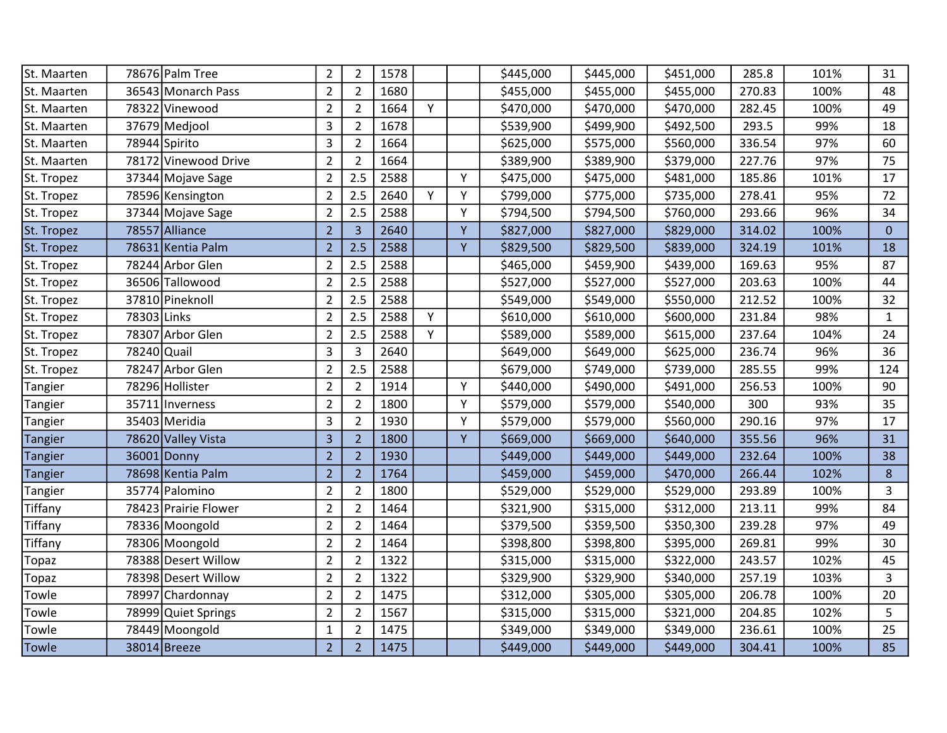| St. Maarten    |             | 78676 Palm Tree      | $\overline{2}$ | $\overline{2}$ | 1578 |   |   | \$445,000 | \$445,000 | \$451,000 | 285.8  | 101% | 31             |
|----------------|-------------|----------------------|----------------|----------------|------|---|---|-----------|-----------|-----------|--------|------|----------------|
| St. Maarten    |             | 36543 Monarch Pass   | $\overline{2}$ | $\overline{2}$ | 1680 |   |   | \$455,000 | \$455,000 | \$455,000 | 270.83 | 100% | 48             |
| St. Maarten    |             | 78322 Vinewood       | $\overline{2}$ | $\overline{2}$ | 1664 | Y |   | \$470,000 | \$470,000 | \$470,000 | 282.45 | 100% | 49             |
| St. Maarten    |             | 37679 Medjool        | 3              | $\overline{2}$ | 1678 |   |   | \$539,900 | \$499,900 | \$492,500 | 293.5  | 99%  | 18             |
| St. Maarten    |             | 78944 Spirito        | 3              | $\overline{2}$ | 1664 |   |   | \$625,000 | \$575,000 | \$560,000 | 336.54 | 97%  | 60             |
| St. Maarten    |             | 78172 Vinewood Drive | $\overline{2}$ | $\overline{2}$ | 1664 |   |   | \$389,900 | \$389,900 | \$379,000 | 227.76 | 97%  | 75             |
| St. Tropez     |             | 37344 Mojave Sage    | $\overline{2}$ | 2.5            | 2588 |   | Y | \$475,000 | \$475,000 | \$481,000 | 185.86 | 101% | 17             |
| St. Tropez     |             | 78596 Kensington     | $\overline{2}$ | 2.5            | 2640 | Y | Y | \$799,000 | \$775,000 | \$735,000 | 278.41 | 95%  | 72             |
| St. Tropez     |             | 37344 Mojave Sage    | $\overline{2}$ | 2.5            | 2588 |   | Y | \$794,500 | \$794,500 | \$760,000 | 293.66 | 96%  | 34             |
| St. Tropez     |             | 78557 Alliance       | $\overline{2}$ | $\overline{3}$ | 2640 |   | Y | \$827,000 | \$827,000 | \$829,000 | 314.02 | 100% | $\overline{0}$ |
| St. Tropez     |             | 78631 Kentia Palm    | $\overline{2}$ | 2.5            | 2588 |   | Y | \$829,500 | \$829,500 | \$839,000 | 324.19 | 101% | 18             |
| St. Tropez     |             | 78244 Arbor Glen     | $\overline{2}$ | 2.5            | 2588 |   |   | \$465,000 | \$459,900 | \$439,000 | 169.63 | 95%  | 87             |
| St. Tropez     |             | 36506 Tallowood      | $\overline{2}$ | 2.5            | 2588 |   |   | \$527,000 | \$527,000 | \$527,000 | 203.63 | 100% | 44             |
| St. Tropez     |             | 37810 Pineknoll      | $\overline{2}$ | 2.5            | 2588 |   |   | \$549,000 | \$549,000 | \$550,000 | 212.52 | 100% | 32             |
| St. Tropez     | 78303 Links |                      | $\overline{2}$ | 2.5            | 2588 | Υ |   | \$610,000 | \$610,000 | \$600,000 | 231.84 | 98%  | $\mathbf{1}$   |
| St. Tropez     |             | 78307 Arbor Glen     | $\overline{2}$ | 2.5            | 2588 | Υ |   | \$589,000 | \$589,000 | \$615,000 | 237.64 | 104% | 24             |
| St. Tropez     | 78240 Quail |                      | 3              | $\overline{3}$ | 2640 |   |   | \$649,000 | \$649,000 | \$625,000 | 236.74 | 96%  | 36             |
| St. Tropez     |             | 78247 Arbor Glen     | $\overline{2}$ | 2.5            | 2588 |   |   | \$679,000 | \$749,000 | \$739,000 | 285.55 | 99%  | 124            |
| Tangier        |             | 78296 Hollister      | $\overline{2}$ | $\overline{2}$ | 1914 |   | Y | \$440,000 | \$490,000 | \$491,000 | 256.53 | 100% | 90             |
| Tangier        |             | 35711 Inverness      | $\overline{2}$ | $\overline{2}$ | 1800 |   | Y | \$579,000 | \$579,000 | \$540,000 | 300    | 93%  | 35             |
| Tangier        |             | 35403 Meridia        | 3              | $\overline{2}$ | 1930 |   | Y | \$579,000 | \$579,000 | \$560,000 | 290.16 | 97%  | 17             |
| <b>Tangier</b> |             | 78620 Valley Vista   | 3              | $\overline{2}$ | 1800 |   | Y | \$669,000 | \$669,000 | \$640,000 | 355.56 | 96%  | 31             |
| <b>Tangier</b> | 36001       | Donny!               | $\overline{2}$ | $\overline{2}$ | 1930 |   |   | \$449,000 | \$449,000 | \$449,000 | 232.64 | 100% | 38             |
| Tangier        |             | 78698 Kentia Palm    | $\overline{2}$ | $\overline{2}$ | 1764 |   |   | \$459,000 | \$459,000 | \$470,000 | 266.44 | 102% | 8              |
| Tangier        |             | 35774 Palomino       | $\overline{2}$ | $\overline{2}$ | 1800 |   |   | \$529,000 | \$529,000 | \$529,000 | 293.89 | 100% | 3              |
| Tiffany        |             | 78423 Prairie Flower | $\overline{2}$ | $\overline{2}$ | 1464 |   |   | \$321,900 | \$315,000 | \$312,000 | 213.11 | 99%  | 84             |
| Tiffany        |             | 78336 Moongold       | $\overline{2}$ | $\overline{2}$ | 1464 |   |   | \$379,500 | \$359,500 | \$350,300 | 239.28 | 97%  | 49             |
| Tiffany        |             | 78306 Moongold       | $\overline{2}$ | $\overline{2}$ | 1464 |   |   | \$398,800 | \$398,800 | \$395,000 | 269.81 | 99%  | 30             |
| Topaz          |             | 78388 Desert Willow  | $\overline{2}$ | $\overline{2}$ | 1322 |   |   | \$315,000 | \$315,000 | \$322,000 | 243.57 | 102% | 45             |
| Topaz          |             | 78398 Desert Willow  | $\overline{2}$ | $\overline{2}$ | 1322 |   |   | \$329,900 | \$329,900 | \$340,000 | 257.19 | 103% | 3              |
| Towle          |             | 78997 Chardonnay     | $\overline{2}$ | $\overline{2}$ | 1475 |   |   | \$312,000 | \$305,000 | \$305,000 | 206.78 | 100% | 20             |
| Towle          |             | 78999 Quiet Springs  | $\overline{2}$ | $\overline{2}$ | 1567 |   |   | \$315,000 | \$315,000 | \$321,000 | 204.85 | 102% | 5              |
| Towle          |             | 78449 Moongold       | $\mathbf{1}$   | $\overline{2}$ | 1475 |   |   | \$349,000 | \$349,000 | \$349,000 | 236.61 | 100% | 25             |
| Towle          |             | 38014 Breeze         | $\overline{2}$ | $\overline{2}$ | 1475 |   |   | \$449,000 | \$449,000 | \$449,000 | 304.41 | 100% | 85             |